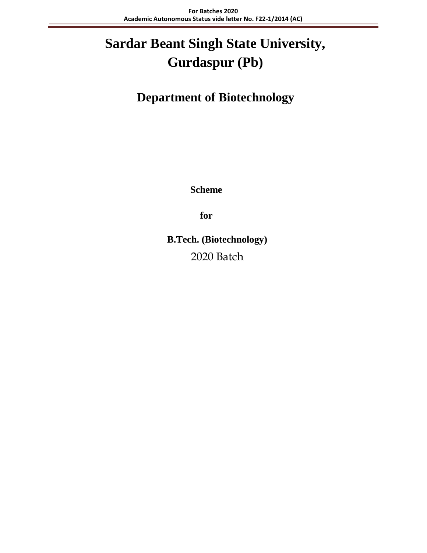# **Sardar Beant Singh State University, Gurdaspur (Pb)**

 **Department of Biotechnology**

**Scheme**

**for**

**B.Tech. (Biotechnology)** 2020 Batch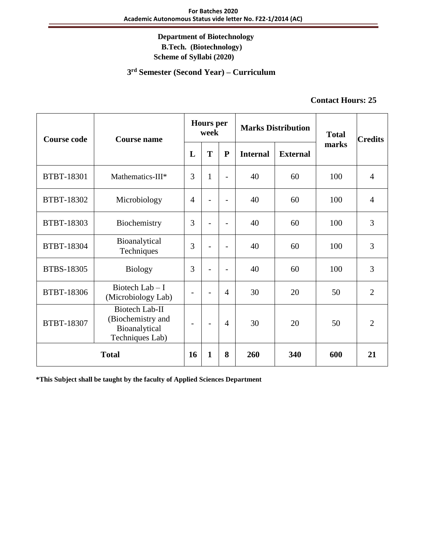#### **3 rd Semester (Second Year) – Curriculum**

### **Contact Hours: 25**

| <b>Course code</b> | <b>Course name</b>                                                             |                          | <b>Hours</b> per<br>week |                          | <b>Marks Distribution</b> |                 | <b>Total</b> | <b>Credits</b> |
|--------------------|--------------------------------------------------------------------------------|--------------------------|--------------------------|--------------------------|---------------------------|-----------------|--------------|----------------|
|                    |                                                                                | L                        | T                        | ${\bf P}$                | <b>Internal</b>           | <b>External</b> | marks        |                |
| <b>BTBT-18301</b>  | Mathematics-III*                                                               | 3                        | 1                        | $\overline{\phantom{a}}$ | 40                        | 60              | 100          | $\overline{4}$ |
| BTBT-18302         | Microbiology                                                                   | $\overline{4}$           |                          | $\overline{a}$           | 40                        | 60              | 100          | $\overline{4}$ |
| BTBT-18303         | Biochemistry                                                                   | 3                        |                          | $\overline{\phantom{0}}$ | 40                        | 60              | 100          | 3              |
| BTBT-18304         | Bioanalytical<br>Techniques                                                    | 3                        |                          | $\overline{\phantom{a}}$ | 40                        | 60              | 100          | 3              |
| <b>BTBS-18305</b>  | <b>Biology</b>                                                                 | 3                        |                          | $\overline{\phantom{0}}$ | 40                        | 60              | 100          | 3              |
| BTBT-18306         | Biotech $Lab-I$<br>(Microbiology Lab)                                          |                          | $\overline{\phantom{0}}$ | $\overline{4}$           | 30                        | 20              | 50           | $\overline{2}$ |
| <b>BTBT-18307</b>  | <b>Biotech Lab-II</b><br>(Biochemistry and<br>Bioanalytical<br>Techniques Lab) | $\overline{\phantom{a}}$ | $\overline{\phantom{a}}$ | $\overline{4}$           | 30                        | 20              | 50           | $\overline{2}$ |
| <b>Total</b>       |                                                                                | 16                       | $\mathbf{1}$             | 8                        | 260                       | 340             | 600          | 21             |

**\*This Subject shall be taught by the faculty of Applied Sciences Department**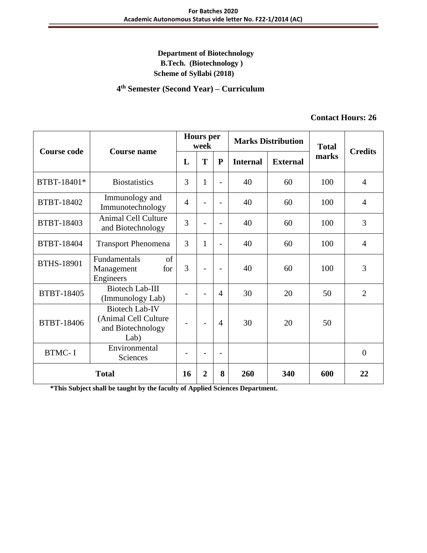#### **4 th Semester (Second Year) – Curriculum**

### **Contact Hours: 26**

| <b>Course code</b> | <b>Course name</b>                                                         |                | <b>Hours</b> per<br><b>Marks Distribution</b><br>week |                          | <b>Total</b>    | <b>Credits</b>  |       |                |
|--------------------|----------------------------------------------------------------------------|----------------|-------------------------------------------------------|--------------------------|-----------------|-----------------|-------|----------------|
|                    |                                                                            | L              | T                                                     | ${\bf P}$                | <b>Internal</b> | <b>External</b> | marks |                |
| BTBT-18401*        | <b>Biostatistics</b>                                                       | 3              | $\mathbf{1}$                                          | $\overline{a}$           | 40              | 60              | 100   | $\overline{4}$ |
| BTBT-18402         | Immunology and<br>Immunotechnology                                         | $\overline{4}$ |                                                       | $\overline{a}$           | 40              | 60              | 100   | $\overline{4}$ |
| BTBT-18403         | <b>Animal Cell Culture</b><br>and Biotechnology                            | 3              |                                                       | $\overline{a}$           | 40              | 60              | 100   | 3              |
| BTBT-18404         | <b>Transport Phenomena</b>                                                 | 3              | $\mathbf{1}$                                          | $\overline{\phantom{0}}$ | 40              | 60              | 100   | $\overline{4}$ |
| <b>BTHS-18901</b>  | of<br>Fundamentals<br>Management<br>for<br>Engineers                       | $\overline{3}$ |                                                       | $\overline{\phantom{a}}$ | 40              | 60              | 100   | 3              |
| BTBT-18405         | <b>Biotech Lab-III</b><br>(Immunology Lab)                                 |                | $\overline{\phantom{0}}$                              | $\overline{4}$           | 30              | 20              | 50    | $\overline{2}$ |
| BTBT-18406         | <b>Biotech Lab-IV</b><br>(Animal Cell Culture<br>and Biotechnology<br>Lab) |                | $\overline{\phantom{a}}$                              | $\overline{4}$           | 30              | 20              | 50    |                |
| <b>BTMC-I</b>      | Environmental<br>Sciences                                                  |                |                                                       | $\overline{\phantom{0}}$ |                 |                 |       | $\overline{0}$ |
| <b>Total</b>       |                                                                            | 16             | $\overline{2}$                                        | 8                        | 260             | 340             | 600   | 22             |

**\*This Subject shall be taught by the faculty of Applied Sciences Department.**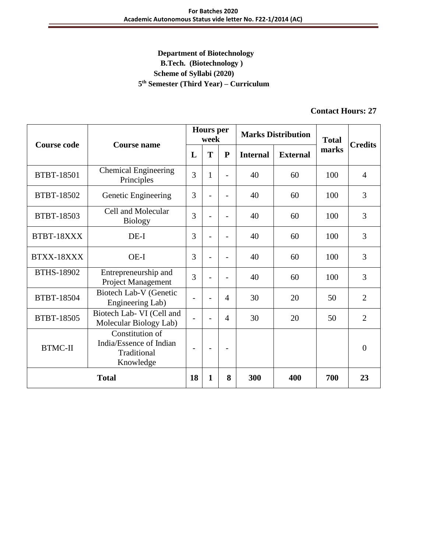# **Department of Biotechnology B.Tech. (Biotechnology ) Scheme of Syllabi (2020) 5 th Semester (Third Year) – Curriculum**

# **Contact Hours: 27**

| <b>Course code</b> | <b>Course name</b>                                                     |                          | <b>Hours</b> per<br>week |                          | <b>Marks Distribution</b> |                 | <b>Total</b> | <b>Credits</b> |
|--------------------|------------------------------------------------------------------------|--------------------------|--------------------------|--------------------------|---------------------------|-----------------|--------------|----------------|
|                    |                                                                        | L                        | T                        | ${\bf P}$                | <b>Internal</b>           | <b>External</b> | marks        |                |
| <b>BTBT-18501</b>  | <b>Chemical Engineering</b><br>Principles                              | 3                        | 1                        | $\overline{a}$           | 40                        | 60              | 100          | $\overline{4}$ |
| <b>BTBT-18502</b>  | Genetic Engineering                                                    | 3                        |                          |                          | 40                        | 60              | 100          | 3              |
| <b>BTBT-18503</b>  | Cell and Molecular<br><b>Biology</b>                                   | 3                        |                          |                          | 40                        | 60              | 100          | 3              |
| BTBT-18XXX         | $DE-I$                                                                 | 3                        |                          |                          | 40                        | 60              | 100          | 3              |
| BTXX-18XXX         | $OE-I$                                                                 | 3                        |                          |                          | 40                        | 60              | 100          | 3              |
| <b>BTHS-18902</b>  | Entrepreneurship and<br>Project Management                             | 3                        | $\overline{\phantom{0}}$ | $\overline{a}$           | 40                        | 60              | 100          | 3              |
| BTBT-18504         | Biotech Lab-V (Genetic<br>Engineering Lab)                             | $\overline{\phantom{a}}$ | $\overline{a}$           | 4                        | 30                        | 20              | 50           | $\overline{2}$ |
| BTBT-18505         | Biotech Lab- VI (Cell and<br>Molecular Biology Lab)                    |                          |                          | $\overline{4}$           | 30                        | 20              | 50           | $\overline{2}$ |
| <b>BTMC-II</b>     | Constitution of<br>India/Essence of Indian<br>Traditional<br>Knowledge | $\overline{\phantom{a}}$ | $\overline{\phantom{a}}$ | $\overline{\phantom{0}}$ |                           |                 |              | $\theta$       |
| <b>Total</b>       |                                                                        | 18                       | 1                        | 8                        | 300                       | 400             | 700          | 23             |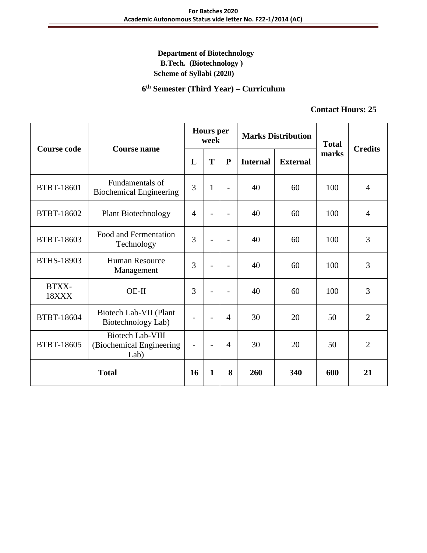**6 th Semester (Third Year) – Curriculum**

### **Contact Hours: 25**

| <b>Course code</b> | <b>Course name</b>                                          | <b>Hours</b> per<br>week |                          |                          | <b>Marks Distribution</b> |                 | <b>Total</b> |                |
|--------------------|-------------------------------------------------------------|--------------------------|--------------------------|--------------------------|---------------------------|-----------------|--------------|----------------|
|                    |                                                             | L                        | T                        | ${\bf P}$                | <b>Internal</b>           | <b>External</b> | marks        | <b>Credits</b> |
| <b>BTBT-18601</b>  | Fundamentals of<br><b>Biochemical Engineering</b>           | 3                        | $\mathbf{1}$             | $\overline{a}$           | 40                        | 60              | 100          | $\overline{4}$ |
| BTBT-18602         | <b>Plant Biotechnology</b>                                  | $\overline{4}$           |                          |                          | 40                        | 60              | 100          | $\overline{4}$ |
| BTBT-18603         | Food and Fermentation<br>Technology                         | 3                        |                          | $\overline{\phantom{a}}$ | 40                        | 60              | 100          | 3              |
| <b>BTHS-18903</b>  | <b>Human Resource</b><br>Management                         | 3                        | $\overline{\phantom{0}}$ | $\overline{\phantom{0}}$ | 40                        | 60              | 100          | 3              |
| BTXX-<br>18XXX     | $OE-II$                                                     | 3                        |                          | $\overline{\phantom{0}}$ | 40                        | 60              | 100          | 3              |
| BTBT-18604         | Biotech Lab-VII (Plant<br>Biotechnology Lab)                | $\overline{\phantom{a}}$ | $\overline{\phantom{0}}$ | $\overline{4}$           | 30                        | 20              | 50           | $\overline{2}$ |
| BTBT-18605         | <b>Biotech Lab-VIII</b><br>(Biochemical Engineering<br>Lab) | $\overline{\phantom{a}}$ | $\overline{\phantom{0}}$ | $\overline{4}$           | 30                        | 20              | 50           | $\overline{2}$ |
| <b>Total</b>       |                                                             | 16                       | 1                        | 8                        | 260                       | 340             | 600          | 21             |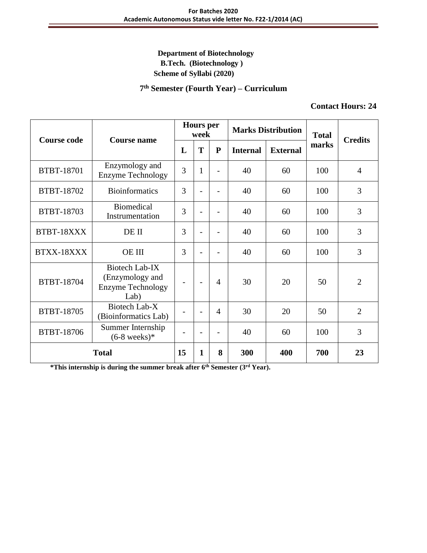#### **7 th Semester (Fourth Year) – Curriculum**

#### **Contact Hours: 24**

| <b>Course code</b> | <b>Course name</b>                                                    | <b>Hours</b> per<br>week |                          | <b>Marks Distribution</b> |                 | <b>Total</b>    | <b>Credits</b> |                |
|--------------------|-----------------------------------------------------------------------|--------------------------|--------------------------|---------------------------|-----------------|-----------------|----------------|----------------|
|                    |                                                                       | L                        | T                        | $\mathbf{P}$              | <b>Internal</b> | <b>External</b> | marks          |                |
| BTBT-18701         | Enzymology and<br><b>Enzyme Technology</b>                            | 3                        | $\mathbf{1}$             |                           | 40              | 60              | 100            | $\overline{4}$ |
| BTBT-18702         | <b>Bioinformatics</b>                                                 | 3                        |                          |                           | 40              | 60              | 100            | 3              |
| BTBT-18703         | <b>Biomedical</b><br>Instrumentation                                  | 3                        |                          |                           | 40              | 60              | 100            | 3              |
| BTBT-18XXX         | DE II                                                                 | 3                        |                          |                           | 40              | 60              | 100            | 3              |
| BTXX-18XXX         | <b>OE III</b>                                                         | 3                        |                          |                           | 40              | 60              | 100            | 3              |
| BTBT-18704         | Biotech Lab-IX<br>(Enzymology and<br><b>Enzyme Technology</b><br>Lab) |                          | $\overline{\phantom{0}}$ | 4                         | 30              | 20              | 50             | $\overline{2}$ |
| <b>BTBT-18705</b>  | Biotech Lab-X<br>(Bioinformatics Lab)                                 |                          | $\overline{a}$           | $\overline{4}$            | 30              | 20              | 50             | $\overline{2}$ |
| BTBT-18706         | Summer Internship<br>$(6-8 \text{ weeks})$ *                          |                          | $\overline{\phantom{0}}$ | $\overline{\phantom{0}}$  | 40              | 60              | 100            | 3              |
| <b>Total</b>       |                                                                       | 15                       | $\mathbf{1}$             | 8                         | 300             | 400             | 700            | 23             |

**\*This internship is during the summer break after 6th Semester (3rd Year).**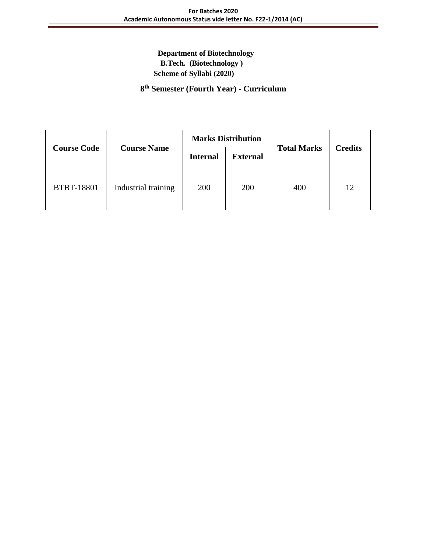**8 th Semester (Fourth Year) - Curriculum**

|                    |                     |                 | <b>Marks Distribution</b> |                    |                |  |
|--------------------|---------------------|-----------------|---------------------------|--------------------|----------------|--|
| <b>Course Code</b> | <b>Course Name</b>  | <b>Internal</b> | <b>External</b>           | <b>Total Marks</b> | <b>Credits</b> |  |
| <b>BTBT-18801</b>  | Industrial training | 200             | 200                       | 400                | 12             |  |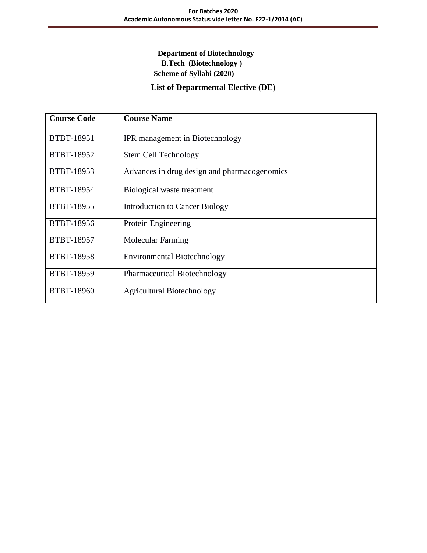# **List of Departmental Elective (DE)**

| <b>Course Code</b> | <b>Course Name</b>                           |
|--------------------|----------------------------------------------|
| <b>BTBT-18951</b>  | IPR management in Biotechnology              |
| BTBT-18952         | <b>Stem Cell Technology</b>                  |
| <b>BTBT-18953</b>  | Advances in drug design and pharmacogenomics |
| <b>BTBT-18954</b>  | Biological waste treatment                   |
| BTBT-18955         | <b>Introduction to Cancer Biology</b>        |
| BTBT-18956         | Protein Engineering                          |
| <b>BTBT-18957</b>  | <b>Molecular Farming</b>                     |
| <b>BTBT-18958</b>  | <b>Environmental Biotechnology</b>           |
| <b>BTBT-18959</b>  | <b>Pharmaceutical Biotechnology</b>          |
| <b>BTBT-18960</b>  | <b>Agricultural Biotechnology</b>            |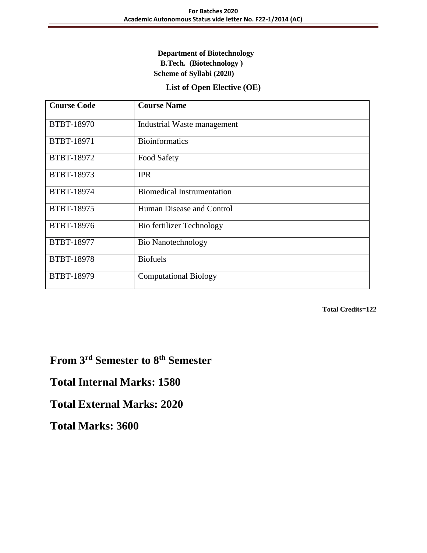### **List of Open Elective (OE)**

| <b>Course Code</b> | <b>Course Name</b>                |
|--------------------|-----------------------------------|
| <b>BTBT-18970</b>  | Industrial Waste management       |
| BTBT-18971         | <b>Bioinformatics</b>             |
| BTBT-18972         | Food Safety                       |
| BTBT-18973         | <b>IPR</b>                        |
| BTBT-18974         | <b>Biomedical Instrumentation</b> |
| BTBT-18975         | Human Disease and Control         |
| <b>BTBT-18976</b>  | Bio fertilizer Technology         |
| BTBT-18977         | <b>Bio Nanotechnology</b>         |
| <b>BTBT-18978</b>  | <b>Biofuels</b>                   |
| BTBT-18979         | <b>Computational Biology</b>      |

**Total Credits=122**

**From 3rd Semester to 8th Semester** 

**Total Internal Marks: 1580**

**Total External Marks: 2020** 

**Total Marks: 3600**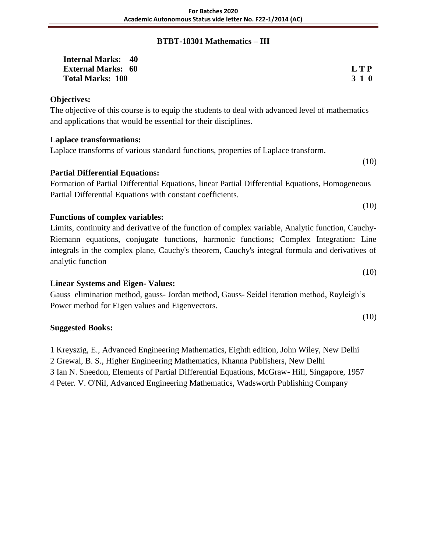# **BTBT-18301 Mathematics – III**

| <b>Internal Marks: 40</b> |       |
|---------------------------|-------|
| <b>External Marks: 60</b> | L T P |
| <b>Total Marks: 100</b>   | 3 1 0 |

### **Objectives:**

The objective of this course is to equip the students to deal with advanced level of mathematics and applications that would be essential for their disciplines.

### **Laplace transformations:**

Laplace transforms of various standard functions, properties of Laplace transform.

### **Partial Differential Equations:**

Formation of Partial Differential Equations, linear Partial Differential Equations, Homogeneous Partial Differential Equations with constant coefficients.

### **Functions of complex variables:**

Limits, continuity and derivative of the function of complex variable, Analytic function, Cauchy-Riemann equations, conjugate functions, harmonic functions; Complex Integration: Line integrals in the complex plane, Cauchy's theorem, Cauchy's integral formula and derivatives of analytic function

### **Linear Systems and Eigen- Values:**

Gauss–elimination method, gauss- Jordan method, Gauss- Seidel iteration method, Rayleigh's Power method for Eigen values and Eigenvectors.

### **Suggested Books:**

1 Kreyszig, E., Advanced Engineering Mathematics, Eighth edition, John Wiley, New Delhi

2 Grewal, B. S., Higher Engineering Mathematics, Khanna Publishers, New Delhi

3 Ian N. Sneedon, Elements of Partial Differential Equations, McGraw- Hill, Singapore, 1957

4 Peter. V. O'Nil, Advanced Engineering Mathematics, Wadsworth Publishing Company

(10)

(10)

(10)

(10)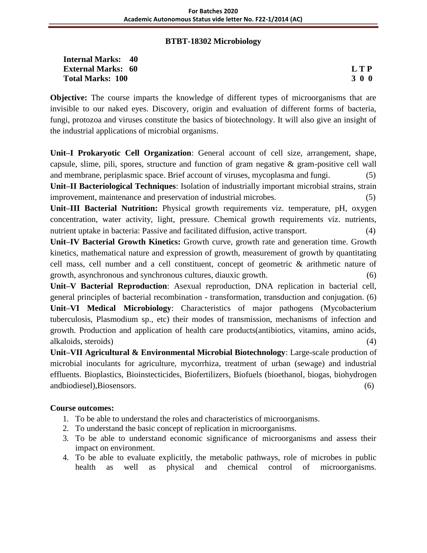### **BTBT-18302 Microbiology**

| <b>Internal Marks: 40</b> |     |
|---------------------------|-----|
| <b>External Marks: 60</b> | LTP |
| <b>Total Marks: 100</b>   | 300 |

**Objective:** The course imparts the knowledge of different types of microorganisms that are invisible to our naked eyes. Discovery, origin and evaluation of different forms of bacteria, fungi, protozoa and viruses constitute the basics of biotechnology. It will also give an insight of the industrial applications of microbial organisms.

**Unit–I Prokaryotic Cell Organization**: General account of cell size, arrangement, shape, capsule, slime, pili, spores, structure and function of gram negative & gram-positive cell wall and membrane, periplasmic space. Brief account of viruses, mycoplasma and fungi. (5) **Unit–II Bacteriological Techniques**: Isolation of industrially important microbial strains, strain improvement, maintenance and preservation of industrial microbes. (5)

**Unit–III Bacterial Nutrition:** Physical growth requirements viz. temperature, pH, oxygen concentration, water activity, light, pressure. Chemical growth requirements viz. nutrients, nutrient uptake in bacteria: Passive and facilitated diffusion, active transport. (4)

**Unit–IV Bacterial Growth Kinetics:** Growth curve, growth rate and generation time. Growth kinetics, mathematical nature and expression of growth, measurement of growth by quantitating cell mass, cell number and a cell constituent, concept of geometric & arithmetic nature of growth, asynchronous and synchronous cultures, diauxic growth. (6)

**Unit–V Bacterial Reproduction**: Asexual reproduction, DNA replication in bacterial cell, general principles of bacterial recombination - transformation, transduction and conjugation. (6) **Unit–VI Medical Microbiology**: Characteristics of major pathogens (Mycobacterium tuberculosis, Plasmodium sp., etc) their modes of transmission, mechanisms of infection and growth. Production and application of health care products(antibiotics, vitamins, amino acids, alkaloids, steroids) (4)

**Unit–VII Agricultural & Environmental Microbial Biotechnology**: Large-scale production of microbial inoculants for agriculture, mycorrhiza, treatment of urban (sewage) and industrial effluents. Bioplastics, Bioinstecticides, Biofertilizers, Biofuels (bioethanol, biogas, biohydrogen andbiodiesel),Biosensors. (6)

# **Course outcomes:**

- 1. To be able to understand the roles and characteristics of microorganisms.
- 2. To understand the basic concept of replication in microorganisms.
- 3. To be able to understand economic significance of microorganisms and assess their impact on environment.
- 4. To be able to evaluate explicitly, the metabolic pathways, role of microbes in public health as well as physical and chemical control of microorganisms.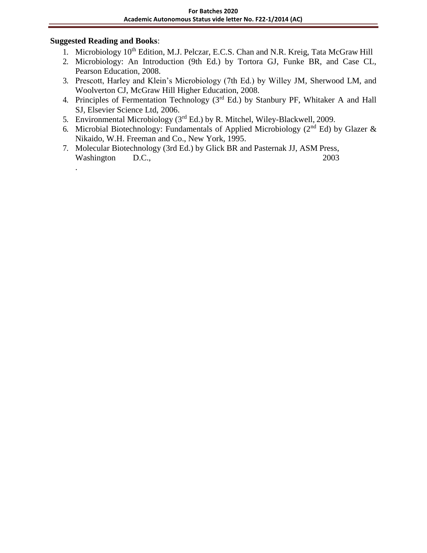### **Suggested Reading and Books**:

.

- 1. Microbiology 10<sup>th</sup> Edition, M.J. Pelczar, E.C.S. Chan and N.R. Kreig, Tata McGraw Hill
- 2. Microbiology: An Introduction (9th Ed.) by Tortora GJ, Funke BR, and Case CL, Pearson Education, 2008.
- 3. Prescott, Harley and Klein's Microbiology (7th Ed.) by Willey JM, Sherwood LM, and Woolverton CJ, McGraw Hill Higher Education, 2008.
- 4. Principles of Fermentation Technology (3rd Ed.) by Stanbury PF, Whitaker A and Hall SJ, Elsevier Science Ltd, 2006.
- 5. Environmental Microbiology ( $3<sup>rd</sup>$  Ed.) by R. Mitchel, Wiley-Blackwell, 2009.
- 6. Microbial Biotechnology: Fundamentals of Applied Microbiology ( $2<sup>nd</sup> Ed$ ) by Glazer & Nikaido, W.H. Freeman and Co., New York, 1995.
- 7. Molecular Biotechnology (3rd Ed.) by Glick BR and Pasternak JJ, ASM Press, Washington D.C., 2003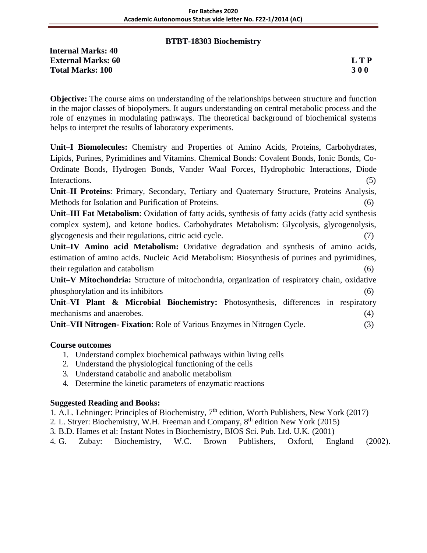### **BTBT-18303 Biochemistry**

**Internal Marks: 40 External Marks: 60 L T P Total Marks: 100 3 0 0**

**Objective:** The course aims on understanding of the relationships between structure and function in the major classes of biopolymers. It augurs understanding on central metabolic process and the role of enzymes in modulating pathways. The theoretical background of biochemical systems helps to interpret the results of laboratory experiments.

**Unit–I Biomolecules:** Chemistry and Properties of Amino Acids, Proteins, Carbohydrates, Lipids, Purines, Pyrimidines and Vitamins. Chemical Bonds: Covalent Bonds, Ionic Bonds, Co-Ordinate Bonds, Hydrogen Bonds, Vander Waal Forces, Hydrophobic Interactions, Diode Interactions. (5)

**Unit–II Proteins**: Primary, Secondary, Tertiary and Quaternary Structure, Proteins Analysis, Methods for Isolation and Purification of Proteins.

**Unit–III Fat Metabolism**: Oxidation of fatty acids, synthesis of fatty acids (fatty acid synthesis complex system), and ketone bodies. Carbohydrates Metabolism: Glycolysis, glycogenolysis, glycogenesis and their regulations, citric acid cycle. (7)

**Unit–IV Amino acid Metabolism:** Oxidative degradation and synthesis of amino acids, estimation of amino acids. Nucleic Acid Metabolism: Biosynthesis of purines and pyrimidines, their regulation and catabolism (6)

**Unit–V Mitochondria:** Structure of mitochondria, organization of respiratory chain, oxidative phosphorylation and its inhibitors (6)

**Unit–VI Plant & Microbial Biochemistry:** Photosynthesis, differences in respiratory mechanisms and anaerobes. (4)

**Unit–VII Nitrogen- Fixation**: Role of Various Enzymes in Nitrogen Cycle. (3)

# **Course outcomes**

- 1. Understand complex biochemical pathways within living cells
- 2. Understand the physiological functioning of the cells
- 3. Understand catabolic and anabolic metabolism
- 4. Determine the kinetic parameters of enzymatic reactions

### **Suggested Reading and Books:**

- 1. A.L. Lehninger: Principles of Biochemistry,  $7<sup>th</sup>$  edition, Worth Publishers, New York (2017)
- 2. L. Stryer: Biochemistry, W.H. Freeman and Company, 8th edition New York (2015)
- 3. B.D. Hames et al: Instant Notes in Biochemistry, BIOS Sci. Pub. Ltd. U.K. (2001)
- 4. G. Zubay: Biochemistry, W.C. Brown Publishers, Oxford, England (2002).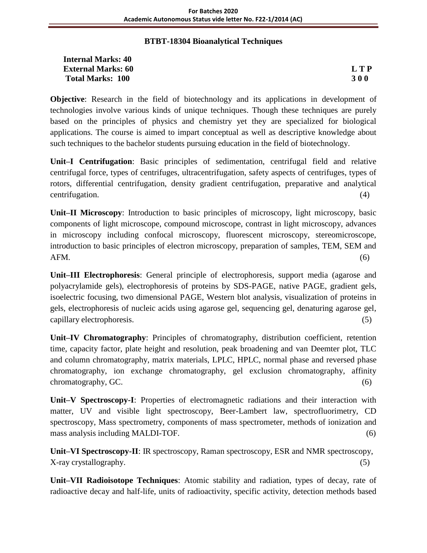### **BTBT-18304 Bioanalytical Techniques**

| <b>Internal Marks: 40</b> |            |
|---------------------------|------------|
| <b>External Marks: 60</b> | <b>LTP</b> |
| <b>Total Marks: 100</b>   | <b>300</b> |

**Objective**: Research in the field of biotechnology and its applications in development of technologies involve various kinds of unique techniques. Though these techniques are purely based on the principles of physics and chemistry yet they are specialized for biological applications. The course is aimed to impart conceptual as well as descriptive knowledge about such techniques to the bachelor students pursuing education in the field of biotechnology.

**Unit–I Centrifugation**: Basic principles of sedimentation, centrifugal field and relative centrifugal force, types of centrifuges, ultracentrifugation, safety aspects of centrifuges, types of rotors, differential centrifugation, density gradient centrifugation, preparative and analytical centrifugation. (4)

**Unit–II Microscopy**: Introduction to basic principles of microscopy, light microscopy, basic components of light microscope, compound microscope, contrast in light microscopy, advances in microscopy including confocal microscopy, fluorescent microscopy, stereomicroscope, introduction to basic principles of electron microscopy, preparation of samples, TEM, SEM and  $AFM.$  (6)

**Unit–III Electrophoresis**: General principle of electrophoresis, support media (agarose and polyacrylamide gels), electrophoresis of proteins by SDS-PAGE, native PAGE, gradient gels, isoelectric focusing, two dimensional PAGE, Western blot analysis, visualization of proteins in gels, electrophoresis of nucleic acids using agarose gel, sequencing gel, denaturing agarose gel, capillary electrophoresis. (5)

**Unit–IV Chromatography**: Principles of chromatography, distribution coefficient, retention time, capacity factor, plate height and resolution, peak broadening and van Deemter plot, TLC and column chromatography, matrix materials, LPLC, HPLC, normal phase and reversed phase chromatography, ion exchange chromatography, gel exclusion chromatography, affinity chromatography, GC. (6)

**Unit–V Spectroscopy-I**: Properties of electromagnetic radiations and their interaction with matter, UV and visible light spectroscopy, Beer-Lambert law, spectrofluorimetry, CD spectroscopy, Mass spectrometry, components of mass spectrometer, methods of ionization and mass analysis including MALDI-TOF. (6)

**Unit–VI Spectroscopy-II**: IR spectroscopy, Raman spectroscopy, ESR and NMR spectroscopy, X-ray crystallography. (5)

**Unit–VII Radioisotope Techniques**: Atomic stability and radiation, types of decay, rate of radioactive decay and half-life, units of radioactivity, specific activity, detection methods based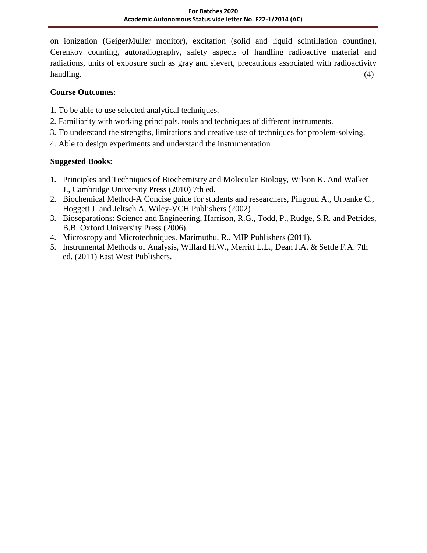on ionization (GeigerMuller monitor), excitation (solid and liquid scintillation counting), Cerenkov counting, autoradiography, safety aspects of handling radioactive material and radiations, units of exposure such as gray and sievert, precautions associated with radioactivity handling. (4)

# **Course Outcomes**:

- 1. To be able to use selected analytical techniques.
- 2. Familiarity with working principals, tools and techniques of different instruments.
- 3. To understand the strengths, limitations and creative use of techniques for problem-solving.
- 4. Able to design experiments and understand the instrumentation

- 1. Principles and Techniques of Biochemistry and Molecular Biology, Wilson K. And Walker J., Cambridge University Press (2010) 7th ed.
- 2. Biochemical Method-A Concise guide for students and researchers, Pingoud A., Urbanke C., Hoggett J. and Jeltsch A. Wiley-VCH Publishers (2002)
- 3. Bioseparations: Science and Engineering, Harrison, R.G., Todd, P., Rudge, S.R. and Petrides, B.B. Oxford University Press (2006).
- 4. Microscopy and Microtechniques. Marimuthu, R., MJP Publishers (2011).
- 5. Instrumental Methods of Analysis, Willard H.W., Merritt L.L., Dean J.A. & Settle F.A. 7th ed. (2011) East West Publishers.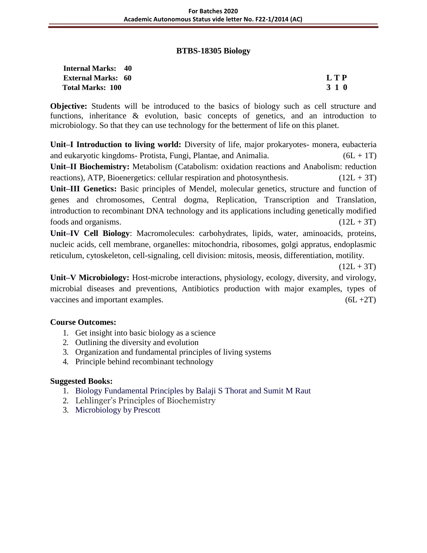#### **BTBS-18305 Biology**

| <b>Internal Marks: 40</b> |            |
|---------------------------|------------|
| <b>External Marks: 60</b> | <b>LTP</b> |
| <b>Total Marks: 100</b>   | 3 1 0      |

| L<br>ı | D |  |
|--------|---|--|
|        | o |  |

**Objective:** Students will be introduced to the basics of biology such as cell structure and functions, inheritance & evolution, basic concepts of genetics, and an introduction to microbiology. So that they can use technology for the betterment of life on this planet.

**Unit–I Introduction to living world:** Diversity of life, major prokaryotes- monera, eubacteria and eukaryotic kingdoms- Protista, Fungi, Plantae, and Animalia.  $(6L + 1T)$ **Unit–II Biochemistry:** Metabolism (Catabolism: oxidation reactions and Anabolism: reduction reactions), ATP, Bioenergetics: cellular respiration and photosynthesis.  $(12L + 3T)$ **Unit–III Genetics:** Basic principles of Mendel, molecular genetics, structure and function of genes and chromosomes, Central dogma, Replication, Transcription and Translation, introduction to recombinant DNA technology and its applications including genetically modified foods and organisms.  $(12L + 3T)$ 

**Unit–IV Cell Biology**: Macromolecules: carbohydrates, lipids, water, aminoacids, proteins, nucleic acids, cell membrane, organelles: mitochondria, ribosomes, golgi appratus, endoplasmic reticulum, cytoskeleton, cell-signaling, cell division: mitosis, meosis, differentiation, motility.

 $(12L + 3T)$ 

**Unit–V Microbiology:** Host-microbe interactions, physiology, ecology, diversity, and virology, microbial diseases and preventions, Antibiotics production with major examples, types of vaccines and important examples.  $(6L + 2T)$ 

# **Course Outcomes:**

- 1. Get insight into basic biology as a science
- 2. Outlining the diversity and evolution
- 3. Organization and fundamental principles of living systems
- 4. Principle behind recombinant technology

- 1. Biology Fundamental Principles by Balaji S Thorat and Sumit M Raut
- 2. Lehlinger's Principles of Biochemistry
- 3. Microbiology by Prescott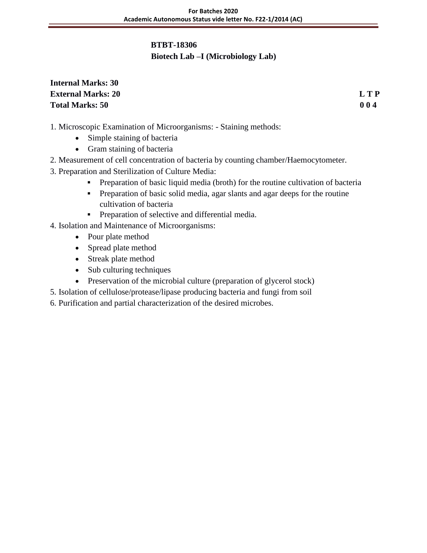### **BTBT-18306**

# **Biotech Lab –I (Microbiology Lab)**

# **Internal Marks: 30 External Marks: 20 L T P Total Marks: 50 0 0 4**

- 1. Microscopic Examination of Microorganisms: Staining methods:
	- Simple staining of bacteria
	- Gram staining of bacteria
- 2. Measurement of cell concentration of bacteria by counting chamber/Haemocytometer.
- 3. Preparation and Sterilization of Culture Media:
	- **Preparation of basic liquid media (broth) for the routine cultivation of bacteria**
	- Preparation of basic solid media, agar slants and agar deeps for the routine cultivation of bacteria
	- **•** Preparation of selective and differential media.
- 4. Isolation and Maintenance of Microorganisms:
	- Pour plate method
	- Spread plate method
	- Streak plate method
	- Sub culturing techniques
	- Preservation of the microbial culture (preparation of glycerol stock)
- 5. Isolation of cellulose/protease/lipase producing bacteria and fungi from soil
- 6. Purification and partial characterization of the desired microbes.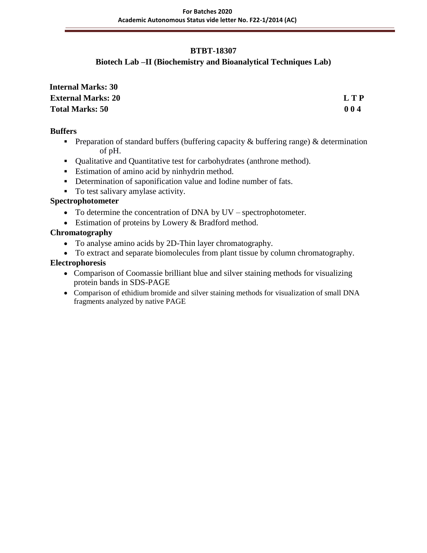# **BTBT-18307**

# **Biotech Lab –II (Biochemistry and Bioanalytical Techniques Lab)**

| <b>Internal Marks: 30</b> |     |
|---------------------------|-----|
| <b>External Marks: 20</b> | LTP |
| <b>Total Marks: 50</b>    | 004 |

### **Buffers**

- Preparation of standard buffers (buffering capacity  $\&$  buffering range)  $\&$  determination of pH.
- Qualitative and Quantitative test for carbohydrates (anthrone method).
- **Estimation of amino acid by ninhydrin method.**
- Determination of saponification value and Iodine number of fats.
- To test salivary amylase activity.

# **Spectrophotometer**

- To determine the concentration of DNA by UV spectrophotometer.
- Estimation of proteins by Lowery & Bradford method.

# **Chromatography**

- To analyse amino acids by 2D-Thin layer chromatography.
- To extract and separate biomolecules from plant tissue by column chromatography.

# **Electrophoresis**

- Comparison of Coomassie brilliant blue and silver staining methods for visualizing protein bands in SDS-PAGE
- Comparison of ethidium bromide and silver staining methods for visualization of small DNA fragments analyzed by native PAGE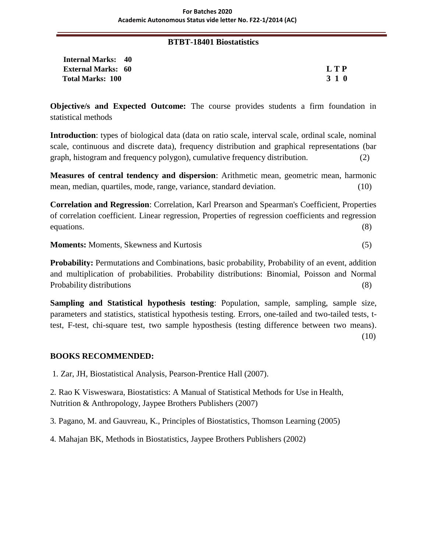#### **BTBT-18401 Biostatistics**

**Internal Marks: 40 External Marks: 60 L T P Total Marks: 100 3 1 0**

**Objective/s and Expected Outcome:** The course provides students a firm foundation in statistical methods

**Introduction**: types of biological data (data on ratio scale, interval scale, ordinal scale, nominal scale, continuous and discrete data), frequency distribution and graphical representations (bar graph, histogram and frequency polygon), cumulative frequency distribution. (2)

**Measures of central tendency and dispersion**: Arithmetic mean, geometric mean, harmonic mean, median, quartiles, mode, range, variance, standard deviation. (10)

**Correlation and Regression**: Correlation, Karl Prearson and Spearman's Coefficient, Properties of correlation coefficient. Linear regression, Properties of regression coefficients and regression equations. (8)

**Moments:** Moments, Skewness and Kurtosis (5)

**Probability:** Permutations and Combinations, basic probability, Probability of an event, addition and multiplication of probabilities. Probability distributions: Binomial, Poisson and Normal Probability distributions (8)

**Sampling and Statistical hypothesis testing:** Population, sample, sampling, sample size, parameters and statistics, statistical hypothesis testing. Errors, one-tailed and two-tailed tests, ttest, F-test, chi-square test, two sample hyposthesis (testing difference between two means). (10)

### **BOOKS RECOMMENDED:**

1. Zar, JH, Biostatistical Analysis, Pearson-Prentice Hall (2007).

2. Rao K Visweswara, Biostatistics: A Manual of Statistical Methods for Use in Health, Nutrition & Anthropology, Jaypee Brothers Publishers (2007)

3. Pagano, M. and Gauvreau, K., Principles of Biostatistics, Thomson Learning (2005)

4. Mahajan BK, Methods in Biostatistics, Jaypee Brothers Publishers (2002)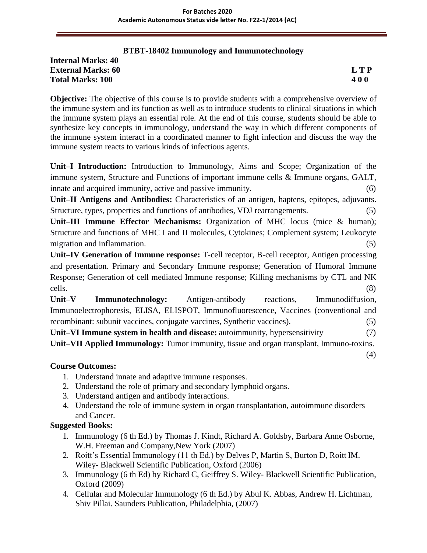### **BTBT-18402 Immunology and Immunotechnology**

#### **Internal Marks: 40 External Marks: 60 L T P Total Marks: 100 4 0 0**

**Objective:** The objective of this course is to provide students with a comprehensive overview of the immune system and its function as well as to introduce students to clinical situations in which the immune system plays an essential role. At the end of this course, students should be able to synthesize key concepts in immunology, understand the way in which different components of the immune system interact in a coordinated manner to fight infection and discuss the way the immune system reacts to various kinds of infectious agents.

**Unit–I Introduction:** Introduction to Immunology, Aims and Scope; Organization of the immune system, Structure and Functions of important immune cells & Immune organs, GALT, innate and acquired immunity, active and passive immunity. (6)

**Unit–II Antigens and Antibodies:** Characteristics of an antigen, haptens, epitopes, adjuvants. Structure, types, properties and functions of antibodies, VDJ rearrangements. (5)

**Unit–III Immune Effector Mechanisms:** Organization of MHC locus (mice & human); Structure and functions of MHC I and II molecules, Cytokines; Complement system; Leukocyte migration and inflammation. (5) (5)

**Unit–IV Generation of Immune response:** T-cell receptor, B-cell receptor, Antigen processing and presentation. Primary and Secondary Immune response; Generation of Humoral Immune Response; Generation of cell mediated Immune response; Killing mechanisms by CTL and NK cells. (8)

**Unit–V Immunotechnology:** Antigen-antibody reactions, Immunodiffusion, Immunoelectrophoresis, ELISA, ELISPOT, Immunofluorescence, Vaccines (conventional and recombinant: subunit vaccines, conjugate vaccines, Synthetic vaccines). (5)

**Unit–VI Immune system in health and disease:** autoimmunity, hypersensitivity (7)

**Unit–VII Applied Immunology:** Tumor immunity, tissue and organ transplant, Immuno-toxins. (4)

# **Course Outcomes:**

- 1. Understand innate and adaptive immune responses.
- 2. Understand the role of primary and secondary lymphoid organs.
- 3. Understand antigen and antibody interactions.
- 4. Understand the role of immune system in organ transplantation, autoimmune disorders and Cancer.

- 1. Immunology (6 th Ed.) by Thomas J. Kindt, Richard A. Goldsby, Barbara Anne Osborne, W.H. Freeman and Company,New York (2007)
- 2. Roitt's Essential Immunology (11 th Ed.) by Delves P, Martin S, Burton D, Roitt IM. Wiley- Blackwell Scientific Publication, Oxford (2006)
- 3. Immunology (6 th Ed) by Richard C, Geiffrey S. Wiley- Blackwell Scientific Publication, Oxford (2009)
- 4. Cellular and Molecular Immunology (6 th Ed.) by Abul K. Abbas, Andrew H. Lichtman, Shiv Pillai. Saunders Publication, Philadelphia, (2007)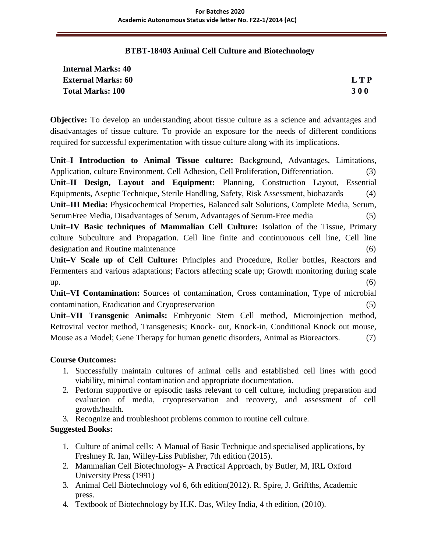#### **BTBT-18403 Animal Cell Culture and Biotechnology**

| <b>Internal Marks: 40</b> |            |
|---------------------------|------------|
| <b>External Marks: 60</b> | L T P      |
| <b>Total Marks: 100</b>   | <b>300</b> |

**Objective:** To develop an understanding about tissue culture as a science and advantages and disadvantages of tissue culture. To provide an exposure for the needs of different conditions required for successful experimentation with tissue culture along with its implications.

**Unit–I Introduction to Animal Tissue culture:** Background, Advantages, Limitations, Application, culture Environment, Cell Adhesion, Cell Proliferation, Differentiation. (3) **Unit–II Design, Layout and Equipment:** Planning, Construction Layout, Essential Equipments, Aseptic Technique, Sterile Handling, Safety, Risk Assessment, biohazards (4) **Unit–III Media:** Physicochemical Properties, Balanced salt Solutions, Complete Media, Serum, SerumFree Media, Disadvantages of Serum, Advantages of Serum-Free media (5) **Unit–IV Basic techniques of Mammalian Cell Culture:** Isolation of the Tissue, Primary culture Subculture and Propagation. Cell line finite and continuouous cell line, Cell line designation and Routine maintenance (6) **Unit–V Scale up of Cell Culture:** Principles and Procedure, Roller bottles, Reactors and

Fermenters and various adaptations; Factors affecting scale up; Growth monitoring during scale  $up.$  (6)

**Unit–VI Contamination:** Sources of contamination, Cross contamination, Type of microbial contamination, Eradication and Cryopreservation (5)

**Unit–VII Transgenic Animals:** Embryonic Stem Cell method, Microinjection method, Retroviral vector method, Transgenesis; Knock- out, Knock-in, Conditional Knock out mouse, Mouse as a Model; Gene Therapy for human genetic disorders, Animal as Bioreactors. (7)

### **Course Outcomes:**

- 1. Successfully maintain cultures of animal cells and established cell lines with good viability, minimal contamination and appropriate documentation.
- 2. Perform supportive or episodic tasks relevant to cell culture, including preparation and evaluation of media, cryopreservation and recovery, and assessment of cell growth/health.
- 3. Recognize and troubleshoot problems common to routine cell culture.

- 1. Culture of animal cells: A Manual of Basic Technique and specialised applications, by Freshney R. Ian, Willey-Liss Publisher, 7th edition (2015).
- 2. Mammalian Cell Biotechnology- A Practical Approach, by Butler, M, IRL Oxford University Press (1991)
- 3. Animal Cell Biotechnology vol 6, 6th edition(2012). R. Spire, J. Griffths, Academic press.
- 4. Textbook of Biotechnology by H.K. Das, Wiley India, 4 th edition, (2010).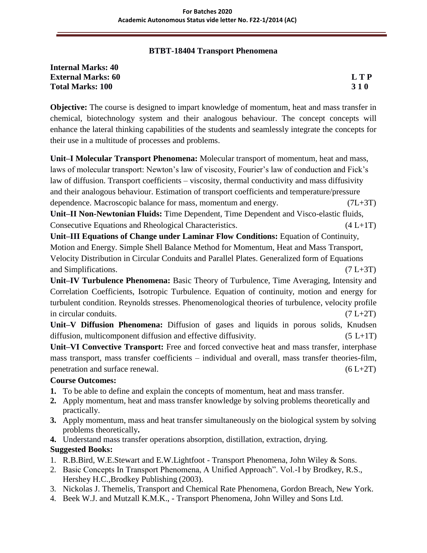### **BTBT-18404 Transport Phenomena**

| <b>Internal Marks: 40</b> |            |
|---------------------------|------------|
| <b>External Marks: 60</b> | LTP        |
| <b>Total Marks: 100</b>   | <b>310</b> |

**Objective:** The course is designed to impart knowledge of momentum, heat and mass transfer in chemical, biotechnology system and their analogous behaviour. The concept concepts will enhance the lateral thinking capabilities of the students and seamlessly integrate the concepts for their use in a multitude of processes and problems.

**Unit–I Molecular Transport Phenomena:** Molecular transport of momentum, heat and mass, laws of molecular transport: Newton's law of viscosity, Fourier's law of conduction and Fick's law of diffusion. Transport coefficients – viscosity, thermal conductivity and mass diffusivity and their analogous behaviour. Estimation of transport coefficients and temperature/pressure dependence. Macroscopic balance for mass, momentum and energy. (7L+3T) **Unit–II Non-Newtonian Fluids:** Time Dependent, Time Dependent and Visco-elastic fluids, Consecutive Equations and Rheological Characteristics. (4 L+1T) **Unit–III Equations of Change under Laminar Flow Conditions:** Equation of Continuity, Motion and Energy. Simple Shell Balance Method for Momentum, Heat and Mass Transport, Velocity Distribution in Circular Conduits and Parallel Plates. Generalized form of Equations and Simplifications.  $(7 L+3T)$ 

**Unit–IV Turbulence Phenomena:** Basic Theory of Turbulence, Time Averaging, Intensity and Correlation Coefficients, Isotropic Turbulence. Equation of continuity, motion and energy for turbulent condition. Reynolds stresses. Phenomenological theories of turbulence, velocity profile in circular conduits. (7 L+2T)

**Unit–V Diffusion Phenomena:** Diffusion of gases and liquids in porous solids, Knudsen diffusion, multicomponent diffusion and effective diffusivity.  $(5 L+1T)$ 

**Unit–VI Convective Transport:** Free and forced convective heat and mass transfer, interphase mass transport, mass transfer coefficients – individual and overall, mass transfer theories-film, penetration and surface renewal.  $(6 L+2T)$ 

# **Course Outcomes:**

- **1.** To be able to define and explain the concepts of momentum, heat and mass transfer.
- **2.** Apply momentum, heat and mass transfer knowledge by solving problems theoretically and practically.
- **3.** Apply momentum, mass and heat transfer simultaneously on the biological system by solving problems theoretically**.**
- **4.** Understand mass transfer operations absorption, distillation, extraction, drying.

- 1. R.B.Bird, W.E.Stewart and E.W.Lightfoot Transport Phenomena, John Wiley & Sons.
- 2. Basic Concepts In Transport Phenomena, A Unified Approach". Vol.-I by Brodkey, R.S., Hershey H.C.,Brodkey Publishing (2003).
- 3. Nickolas J. Themelis, Transport and Chemical Rate Phenomena, Gordon Breach, New York.
- 4. Beek W.J. and Mutzall K.M.K., Transport Phenomena, John Willey and Sons Ltd.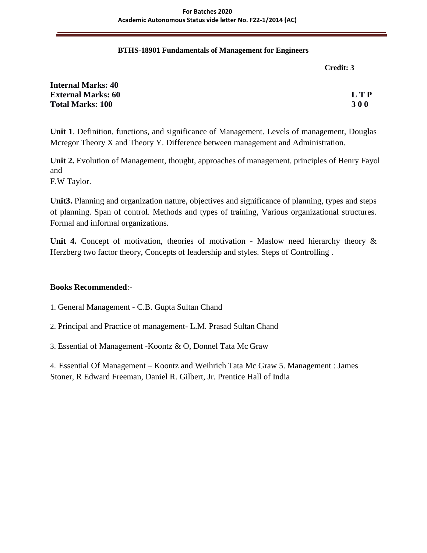#### **BTHS-18901 Fundamentals of Management for Engineers**

**Credit: 3**

| <b>Internal Marks: 40</b> |            |
|---------------------------|------------|
| <b>External Marks: 60</b> | L T P      |
| <b>Total Marks: 100</b>   | <b>300</b> |

**Unit 1**. Definition, functions, and significance of Management. Levels of management, Douglas Mcregor Theory X and Theory Y. Difference between management and Administration.

**Unit 2.** Evolution of Management, thought, approaches of management. principles of Henry Fayol and

F.W Taylor.

**Unit3.** Planning and organization nature, objectives and significance of planning, types and steps of planning. Span of control. Methods and types of training, Various organizational structures. Formal and informal organizations.

Unit 4. Concept of motivation, theories of motivation - Maslow need hierarchy theory & Herzberg two factor theory, Concepts of leadership and styles. Steps of Controlling .

### **Books Recommended**:-

1. General Management - C.B. Gupta Sultan Chand

2. Principal and Practice of management- L.M. Prasad Sultan Chand

3. Essential of Management -Koontz & O, Donnel Tata Mc Graw

4. Essential Of Management – Koontz and Weihrich Tata Mc Graw 5. Management : James Stoner, R Edward Freeman, Daniel R. Gilbert, Jr. Prentice Hall of India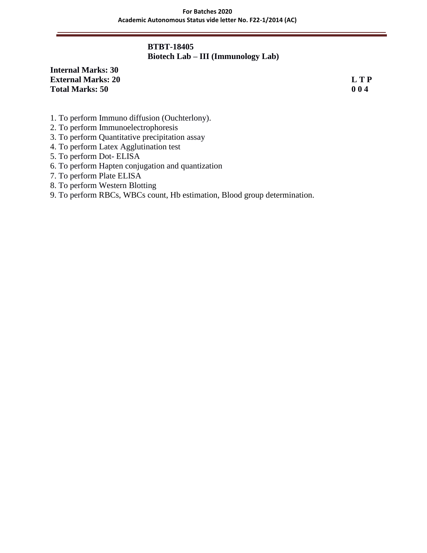# **BTBT-18405 Biotech Lab – III (Immunology Lab)**

# **Internal Marks: 30 External Marks: 20 L T P Total Marks: 50 0 0 4**

- 1. To perform Immuno diffusion (Ouchterlony).
- 2. To perform Immunoelectrophoresis
- 3. To perform Quantitative precipitation assay
- 4. To perform Latex Agglutination test
- 5. To perform Dot- ELISA
- 6. To perform Hapten conjugation and quantization
- 7. To perform Plate ELISA
- 8. To perform Western Blotting
- 9. To perform RBCs, WBCs count, Hb estimation, Blood group determination.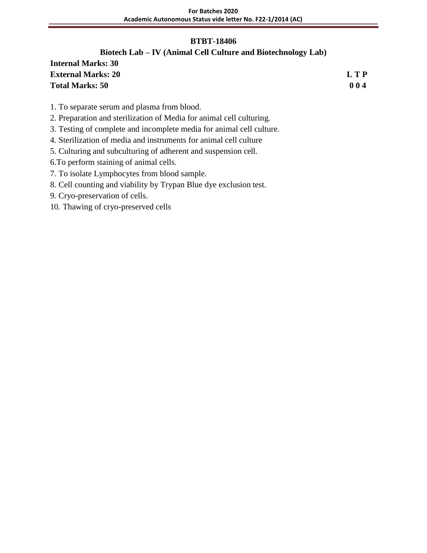### **BTBT-18406**

# **Biotech Lab – IV (Animal Cell Culture and Biotechnology Lab)**

| <b>Internal Marks: 30</b> |       |
|---------------------------|-------|
| <b>External Marks: 20</b> | L T P |
| <b>Total Marks: 50</b>    | 004   |

- 1. To separate serum and plasma from blood.
- 2. Preparation and sterilization of Media for animal cell culturing.
- 3. Testing of complete and incomplete media for animal cell culture.
- 4. Sterilization of media and instruments for animal cell culture
- 5. Culturing and subculturing of adherent and suspension cell.
- 6.To perform staining of animal cells.
- 7. To isolate Lymphocytes from blood sample.
- 8. Cell counting and viability by Trypan Blue dye exclusion test.
- 9. Cryo-preservation of cells.
- 10. Thawing of cryo-preserved cells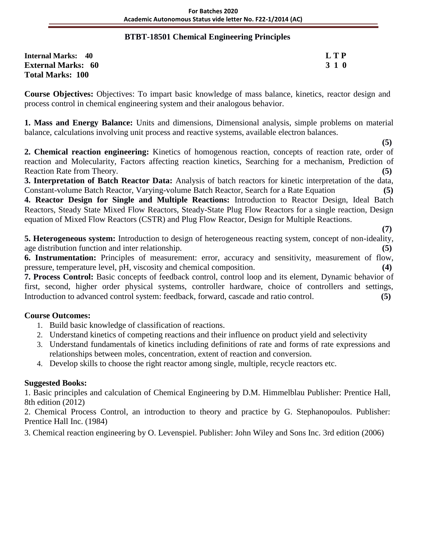### **BTBT-18501 Chemical Engineering Principles**

| <b>Internal Marks: 40</b> | L T P |
|---------------------------|-------|
| <b>External Marks: 60</b> | 3 1 0 |
| <b>Total Marks: 100</b>   |       |

**Course Objectives:** Objectives: To impart basic knowledge of mass balance, kinetics, reactor design and process control in chemical engineering system and their analogous behavior.

**1. Mass and Energy Balance:** Units and dimensions, Dimensional analysis, simple problems on material balance, calculations involving unit process and reactive systems, available electron balances.

 **(5) 2. Chemical reaction engineering:** Kinetics of homogenous reaction, concepts of reaction rate, order of reaction and Molecularity, Factors affecting reaction kinetics, Searching for a mechanism, Prediction of Reaction Rate from Theory. **(5)**

**3. Interpretation of Batch Reactor Data:** Analysis of batch reactors for kinetic interpretation of the data, Constant-volume Batch Reactor, Varying-volume Batch Reactor, Search for a Rate Equation **(5)**

**4. Reactor Design for Single and Multiple Reactions:** Introduction to Reactor Design, Ideal Batch Reactors, Steady State Mixed Flow Reactors, Steady-State Plug Flow Reactors for a single reaction, Design equation of Mixed Flow Reactors (CSTR) and Plug Flow Reactor, Design for Multiple Reactions.

 **(7) 5. Heterogeneous system:** Introduction to design of heterogeneous reacting system, concept of non-ideality, age distribution function and inter relationship. **(5)**

**6. Instrumentation:** Principles of measurement: error, accuracy and sensitivity, measurement of flow, pressure, temperature level, pH, viscosity and chemical composition. **(4)**

**7. Process Control:** Basic concepts of feedback control, control loop and its element, Dynamic behavior of first, second, higher order physical systems, controller hardware, choice of controllers and settings, Introduction to advanced control system: feedback, forward, cascade and ratio control. **(5)**

# **Course Outcomes:**

- 1. Build basic knowledge of classification of reactions.
- 2. Understand kinetics of competing reactions and their influence on product yield and selectivity
- 3. Understand fundamentals of kinetics including definitions of rate and forms of rate expressions and relationships between moles, concentration, extent of reaction and conversion.
- 4. Develop skills to choose the right reactor among single, multiple, recycle reactors etc.

# **Suggested Books:**

1. Basic principles and calculation of Chemical Engineering by D.M. Himmelblau Publisher: Prentice Hall, 8th edition (2012)

2. Chemical Process Control, an introduction to theory and practice by G. Stephanopoulos. Publisher: Prentice Hall Inc. (1984)

3. Chemical reaction engineering by O. Levenspiel. Publisher: John Wiley and Sons Inc. 3rd edition (2006)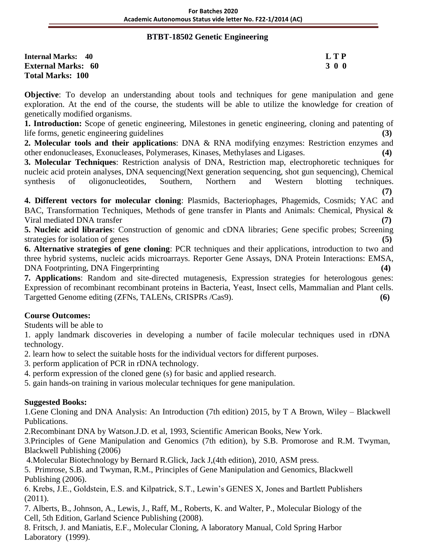### **BTBT-18502 Genetic Engineering**

| Internal Marks: 40        | L T P |
|---------------------------|-------|
| <b>External Marks: 60</b> | 3 0 0 |
| <b>Total Marks: 100</b>   |       |

**Objective**: To develop an understanding about tools and techniques for gene manipulation and gene exploration. At the end of the course, the students will be able to utilize the knowledge for creation of genetically modified organisms.

**1. Introduction:** Scope of genetic engineering, Milestones in genetic engineering, cloning and patenting of life forms, genetic engineering guidelines **(3)**

**2. Molecular tools and their applications**: DNA & RNA modifying enzymes: Restriction enzymes and other endonucleases, Exonucleases, Polymerases, Kinases, Methylases and Ligases. **(4)**

**3. Molecular Techniques**: Restriction analysis of DNA, Restriction map, electrophoretic techniques for nucleic acid protein analyses, DNA sequencing(Next generation sequencing, shot gun sequencing), Chemical synthesis of oligonucleotides, Southern, Northern and Western blotting techniques. **(7)**

**4. Different vectors for molecular cloning**: Plasmids, Bacteriophages, Phagemids, Cosmids; YAC and BAC, Transformation Techniques, Methods of gene transfer in Plants and Animals: Chemical, Physical & Viral mediated DNA transfer **(7)**

**5. Nucleic acid libraries**: Construction of genomic and cDNA libraries; Gene specific probes; Screening strategies for isolation of genes **(5)** (5)

**6. Alternative strategies of gene cloning**: PCR techniques and their applications, introduction to two and three hybrid systems, nucleic acids microarrays. Reporter Gene Assays, DNA Protein Interactions: EMSA, DNA Footprinting, DNA Fingerprinting **(4)**

**7. Applications**: Random and site-directed mutagenesis, Expression strategies for heterologous genes: Expression of recombinant recombinant proteins in Bacteria, Yeast, Insect cells, Mammalian and Plant cells. Targetted Genome editing (ZFNs, TALENs, CRISPRs /Cas9). **(6)**

# **Course Outcomes:**

Students will be able to

1. apply landmark discoveries in developing a number of facile molecular techniques used in rDNA technology.

2. learn how to select the suitable hosts for the individual vectors for different purposes.

3. perform application of PCR in rDNA technology.

4. perform expression of the cloned gene (s) for basic and applied research.

5. gain hands-on training in various molecular techniques for gene manipulation.

# **Suggested Books:**

1.Gene Cloning and DNA Analysis: An Introduction (7th edition) 2015, by T A Brown, Wiley – Blackwell Publications.

2.Recombinant DNA by Watson.J.D. et al, 1993, Scientific American Books, New York.

3.Principles of Gene Manipulation and Genomics (7th edition), by S.B. Promorose and R.M. Twyman, Blackwell Publishing (2006)

4.Molecular Biotechnology by Bernard R.Glick, Jack J,(4th edition), 2010, ASM press.

5. Primrose, S.B. and Twyman, R.M., Principles of Gene Manipulation and Genomics, Blackwell Publishing (2006).

6. Krebs, J.E., Goldstein, E.S. and Kilpatrick, S.T., Lewin's GENES X, Jones and Bartlett Publishers (2011).

7. Alberts, B., Johnson, A., Lewis, J., Raff, M., Roberts, K. and Walter, P., Molecular Biology of the Cell, 5th Edition, Garland Science Publishing (2008).

8. Fritsch, J. and Maniatis, E.F., Molecular Cloning, A laboratory Manual, Cold Spring Harbor Laboratory (1999).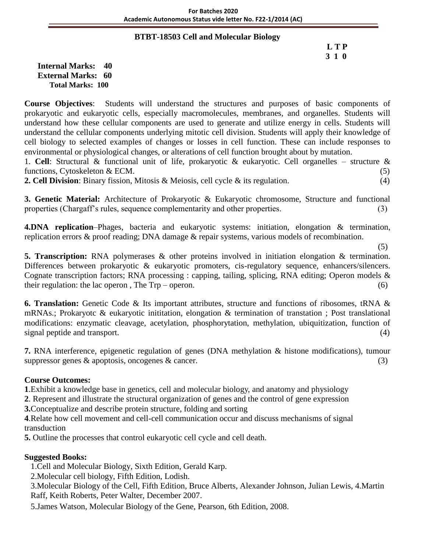### **BTBT-18503 Cell and Molecular Biology**

# **L T P 3 1 0**

**Internal Marks: 40 External Marks: 60 Total Marks: 100** 

**Course Objectives**: Students will understand the structures and purposes of basic components of prokaryotic and eukaryotic cells, especially macromolecules, membranes, and organelles. Students will understand how these cellular components are used to generate and utilize energy in cells. Students will understand the cellular components underlying mitotic cell division. Students will apply their knowledge of cell biology to selected examples of changes or losses in cell function. These can include responses to environmental or physiological changes, or alterations of cell function brought about by mutation.

1. **Cell**: Structural & functional unit of life, prokaryotic & eukaryotic. Cell organelles – structure & functions, Cytoskeleton & ECM. (5)

**2. Cell Division**: Binary fission, Mitosis & Meiosis, cell cycle & its regulation. (4)

**3. Genetic Material:** Architecture of Prokaryotic & Eukaryotic chromosome, Structure and functional properties (Chargaff's rules, sequence complementarity and other properties. (3)

**4.DNA replication**–Phages, bacteria and eukaryotic systems: initiation, elongation & termination, replication errors & proof reading; DNA damage & repair systems, various models of recombination.

(5)

**5. Transcription:** RNA polymerases & other proteins involved in initiation elongation & termination. Differences between prokaryotic & eukaryotic promoters, cis-regulatory sequence, enhancers/silencers. Cognate transcription factors; RNA processing : capping, tailing, splicing, RNA editing; Operon models & their regulation: the lac operon, The  $Trp - operon$ .  $(6)$ 

**6. Translation:** Genetic Code & Its important attributes, structure and functions of ribosomes, tRNA & mRNAs.; Prokaryotc & eukaryotic inititation, elongation & termination of transtation ; Post translational modifications: enzymatic cleavage, acetylation, phosphorytation, methylation, ubiquitization, function of signal peptide and transport. (4)

**7.** RNA interference, epigenetic regulation of genes (DNA methylation & histone modifications), tumour suppressor genes & apoptosis, oncogenes & cancer. (3)

# **Course Outcomes:**

**1**.Exhibit a knowledge base in genetics, cell and molecular biology, and anatomy and physiology

**2**. Represent and illustrate the structural organization of genes and the control of gene expression

**3.**Conceptualize and describe protein structure, folding and sorting

**4**.Relate how cell movement and cell-cell communication occur and discuss mechanisms of signal transduction

**5.** Outline the processes that control eukaryotic cell cycle and cell death.

# **Suggested Books:**

1.Cell and Molecular Biology, Sixth Edition, Gerald Karp.

2.Molecular cell biology, Fifth Edition, Lodish.

3.Molecular Biology of the Cell, Fifth Edition, Bruce Alberts, Alexander Johnson, Julian Lewis, 4.Martin Raff, Keith Roberts, Peter Walter, December 2007.

5.James Watson, Molecular Biology of the Gene, Pearson, 6th Edition, 2008.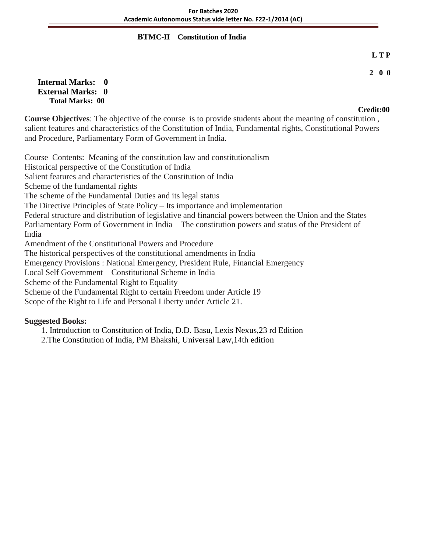### **BTMC-II Constitution of India**

#### **L T P**

### **2 0 0**

#### **Internal Marks: 0 External Marks: 0 Total Marks: 00**

# **Credit:00**

**Course Objectives**: The objective of the course is to provide students about the meaning of constitution , salient features and characteristics of the Constitution of India, Fundamental rights, Constitutional Powers and Procedure, Parliamentary Form of Government in India.

Course Contents: Meaning of the constitution law and constitutionalism Historical perspective of the Constitution of India Salient features and characteristics of the Constitution of India Scheme of the fundamental rights The scheme of the Fundamental Duties and its legal status The Directive Principles of State Policy – Its importance and implementation Federal structure and distribution of legislative and financial powers between the Union and the States Parliamentary Form of Government in India – The constitution powers and status of the President of India Amendment of the Constitutional Powers and Procedure The historical perspectives of the constitutional amendments in India Emergency Provisions : National Emergency, President Rule, Financial Emergency Local Self Government – Constitutional Scheme in India Scheme of the Fundamental Right to Equality Scheme of the Fundamental Right to certain Freedom under Article 19 Scope of the Right to Life and Personal Liberty under Article 21.

### **Suggested Books:**

1. Introduction to Constitution of India, D.D. Basu, Lexis Nexus,23 rd Edition

2.The Constitution of India, PM Bhakshi, Universal Law,14th edition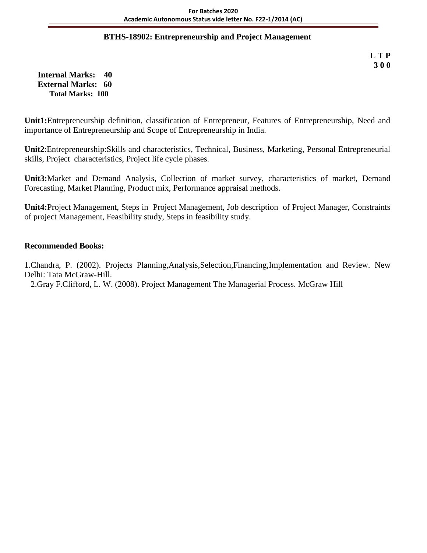### **BTHS-18902: Entrepreneurship and Project Management**

**L T P 3 0 0**

**Internal Marks: 40 External Marks: 60 Total Marks: 100** 

**Unit1:**Entrepreneurship definition, classification of Entrepreneur, Features of Entrepreneurship, Need and importance of Entrepreneurship and Scope of Entrepreneurship in India.

**Unit2**:Entrepreneurship:Skills and characteristics, Technical, Business, Marketing, Personal Entrepreneurial skills, Project characteristics, Project life cycle phases.

**Unit3:**Market and Demand Analysis, Collection of market survey, characteristics of market, Demand Forecasting, Market Planning, Product mix, Performance appraisal methods.

**Unit4:**Project Management, Steps in Project Management, Job description of Project Manager, Constraints of project Management, Feasibility study, Steps in feasibility study.

### **Recommended Books:**

1.Chandra, P. (2002). Projects Planning,Analysis,Selection,Financing,Implementation and Review. New Delhi: Tata McGraw-Hill.

2.Gray F.Clifford, L. W. (2008). Project Management The Managerial Process*.* McGraw Hill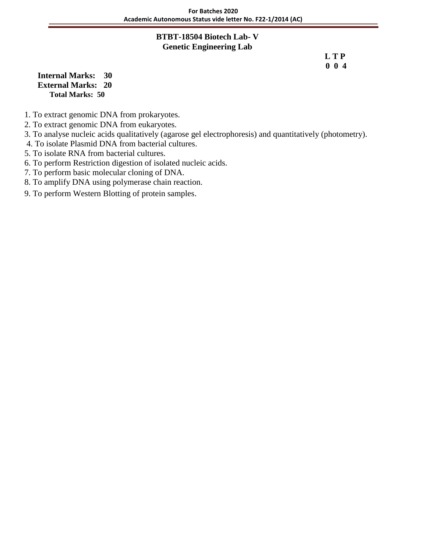### **BTBT-18504 Biotech Lab- V Genetic Engineering Lab**

 **L T P 0 0 4**

**Internal Marks: 30 External Marks: 20 Total Marks: 50** 

- 1. To extract genomic DNA from prokaryotes.
- 2. To extract genomic DNA from eukaryotes.
- 3. To analyse nucleic acids qualitatively (agarose gel electrophoresis) and quantitatively (photometry).
- 4. To isolate Plasmid DNA from bacterial cultures.
- 5. To isolate RNA from bacterial cultures.
- 6. To perform Restriction digestion of isolated nucleic acids.
- 7. To perform basic molecular cloning of DNA.
- 8. To amplify DNA using polymerase chain reaction.
- 9. To perform Western Blotting of protein samples.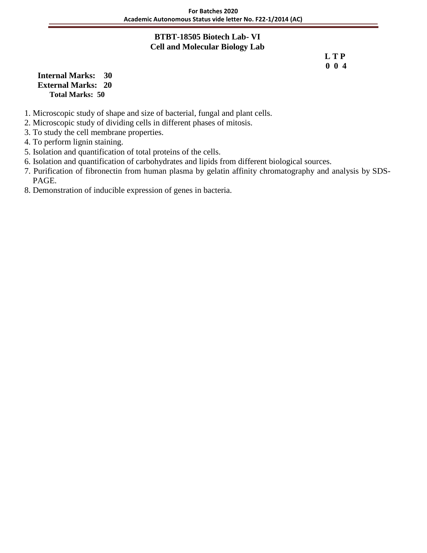### **BTBT-18505 Biotech Lab- VI Cell and Molecular Biology Lab**

 **L T P 0 0 4**

**Internal Marks: 30 External Marks: 20 Total Marks: 50** 

- 1. Microscopic study of shape and size of bacterial, fungal and plant cells.
- 2. Microscopic study of dividing cells in different phases of mitosis.
- 3. To study the cell membrane properties.
- 4. To perform lignin staining.
- 5. Isolation and quantification of total proteins of the cells.
- 6. Isolation and quantification of carbohydrates and lipids from different biological sources.
- 7. Purification of fibronectin from human plasma by gelatin affinity chromatography and analysis by SDS- PAGE.
- 8. Demonstration of inducible expression of genes in bacteria.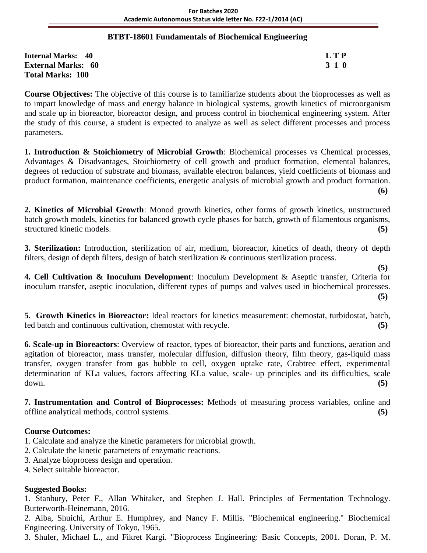### **BTBT-18601 Fundamentals of Biochemical Engineering**

| <b>Internal Marks: 40</b> | L T P |
|---------------------------|-------|
| <b>External Marks: 60</b> | 3 1 0 |
| <b>Total Marks: 100</b>   |       |

**Course Objectives:** The objective of this course is to familiarize students about the bioprocesses as well as to impart knowledge of mass and energy balance in biological systems, growth kinetics of microorganism and scale up in bioreactor, bioreactor design, and process control in biochemical engineering system. After the study of this course, a student is expected to analyze as well as select different processes and process parameters.

**1. Introduction & Stoichiometry of Microbial Growth**: Biochemical processes vs Chemical processes, Advantages & Disadvantages, Stoichiometry of cell growth and product formation, elemental balances, degrees of reduction of substrate and biomass, available electron balances, yield coefficients of biomass and product formation, maintenance coefficients, energetic analysis of microbial growth and product formation. **(6)**

**2. Kinetics of Microbial Growth**: Monod growth kinetics, other forms of growth kinetics, unstructured batch growth models, kinetics for balanced growth cycle phases for batch, growth of filamentous organisms, structured kinetic models. **(5)**

**3. Sterilization:** Introduction, sterilization of air, medium, bioreactor, kinetics of death, theory of depth filters, design of depth filters, design of batch sterilization & continuous sterilization process.

 **(5) 4. Cell Cultivation & Inoculum Development**: Inoculum Development & Aseptic transfer, Criteria for inoculum transfer, aseptic inoculation, different types of pumps and valves used in biochemical processes. **(5)**

**5. Growth Kinetics in Bioreactor:** Ideal reactors for kinetics measurement: chemostat, turbidostat, batch, fed batch and continuous cultivation, chemostat with recycle. **(5)**

**6. Scale-up in Bioreactors**: Overview of reactor, types of bioreactor, their parts and functions, aeration and agitation of bioreactor, mass transfer, molecular diffusion, diffusion theory, film theory, gas-liquid mass transfer, oxygen transfer from gas bubble to cell, oxygen uptake rate, Crabtree effect, experimental determination of KLa values, factors affecting KLa value, scale- up principles and its difficulties, scale down. **(5)**

**7. Instrumentation and Control of Bioprocesses:** Methods of measuring process variables, online and offline analytical methods, control systems. **(5)**

# **Course Outcomes:**

1. Calculate and analyze the kinetic parameters for microbial growth.

- 2. Calculate the kinetic parameters of enzymatic reactions.
- 3. Analyze bioprocess design and operation.
- 4. Select suitable bioreactor.

# **Suggested Books:**

1. Stanbury, Peter F., Allan Whitaker, and Stephen J. Hall. Principles of Fermentation Technology. Butterworth-Heinemann, 2016.

2. Aiba, Shuichi, Arthur E. Humphrey, and Nancy F. Millis. "Biochemical engineering." Biochemical Engineering. University of Tokyo, 1965.

3. Shuler, Michael L., and Fikret Kargi. "Bioprocess Engineering: Basic Concepts, 2001. Doran, P. M.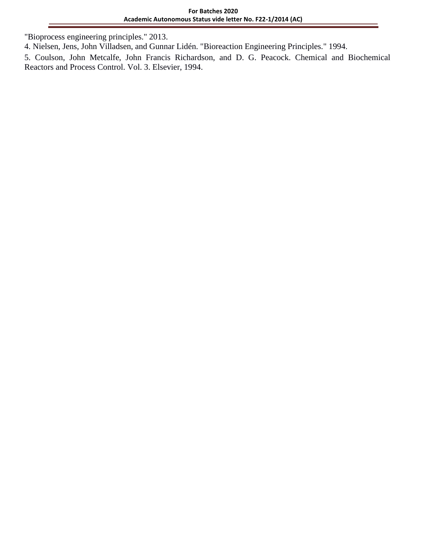"Bioprocess engineering principles." 2013.

4. Nielsen, Jens, John Villadsen, and Gunnar Lidén. "Bioreaction Engineering Principles." 1994.

5. Coulson, John Metcalfe, John Francis Richardson, and D. G. Peacock. Chemical and Biochemical Reactors and Process Control. Vol. 3. Elsevier, 1994.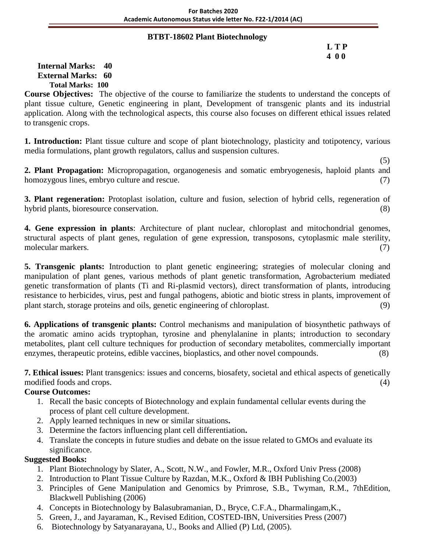### **BTBT-18602 Plant Biotechnology**

### **L T P 4 0 0**

### **Internal Marks: 40 External Marks: 60 Total Marks: 100**

**Course Objectives:** The objective of the course to familiarize the students to understand the concepts of plant tissue culture, Genetic engineering in plant, Development of transgenic plants and its industrial application. Along with the technological aspects, this course also focuses on different ethical issues related to transgenic crops.

**1. Introduction:** Plant tissue culture and scope of plant biotechnology, plasticity and totipotency, various media formulations, plant growth regulators, callus and suspension cultures.

 (5) **2. Plant Propagation:** Micropropagation, organogenesis and somatic embryogenesis, haploid plants and homozygous lines, embryo culture and rescue. (7) (3)

**3. Plant regeneration:** Protoplast isolation, culture and fusion, selection of hybrid cells, regeneration of hybrid plants, bioresource conservation. (8)

**4. Gene expression in plants**: Architecture of plant nuclear, chloroplast and mitochondrial genomes, structural aspects of plant genes, regulation of gene expression, transposons, cytoplasmic male sterility, molecular markers. (7)

**5. Transgenic plants:** Introduction to plant genetic engineering; strategies of molecular cloning and manipulation of plant genes, various methods of plant genetic transformation, Agrobacterium mediated genetic transformation of plants (Ti and Ri-plasmid vectors), direct transformation of plants, introducing resistance to herbicides, virus, pest and fungal pathogens, abiotic and biotic stress in plants, improvement of plant starch, storage proteins and oils, genetic engineering of chloroplast. (9)

**6. Applications of transgenic plants:** Control mechanisms and manipulation of biosynthetic pathways of the aromatic amino acids tryptophan, tyrosine and phenylalanine in plants; introduction to secondary metabolites, plant cell culture techniques for production of secondary metabolites, commercially important enzymes, therapeutic proteins, edible vaccines, bioplastics, and other novel compounds. (8)

**7. Ethical issues:** Plant transgenics: issues and concerns, biosafety, societal and ethical aspects of genetically modified foods and crops. (4) (3) and crops (4) and contact the contact of the contact of the contact of the contact of the contact of the contact of the contact of the contact of the contact of the contact of the contact

# **Course Outcomes:**

- 1. Recall the basic concepts of Biotechnology and explain fundamental cellular events during the process of plant cell culture development.
- 2. Apply learned techniques in new or similar situations**.**
- 3. Determine the factors influencing plant cell differentiation**.**
- 4. Translate the concepts in future studies and debate on the issue related to GMOs and evaluate its significance.

- 1. Plant Biotechnology by Slater, A., Scott, N.W., and Fowler, M.R., Oxford Univ Press (2008)
- 2. Introduction to Plant Tissue Culture by Razdan, M.K., Oxford & IBH Publishing Co.(2003)
- 3. Principles of Gene Manipulation and Genomics by Primrose, S.B., Twyman, R.M., 7thEdition, Blackwell Publishing (2006)
- 4. Concepts in Biotechnology by Balasubramanian, D., Bryce, C.F.A., Dharmalingam,K.,
- 5. Green, J., and Jayaraman, K., Revised Edition, COSTED-IBN, Universities Press (2007)
- 6. Biotechnology by Satyanarayana, U., Books and Allied (P) Ltd, (2005).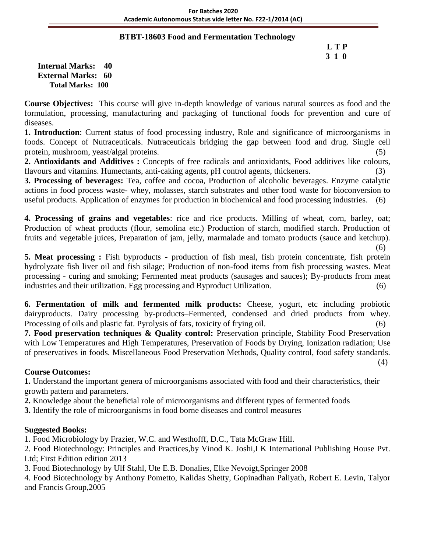### **BTBT-18603 Food and Fermentation Technology**

# **L T P 3 1 0**

**Internal Marks: 40 External Marks: 60 Total Marks: 100** 

**Course Objectives:** This course will give in-depth knowledge of various natural sources as food and the formulation, processing, manufacturing and packaging of functional foods for prevention and cure of diseases.

**1. Introduction**: Current status of food processing industry, Role and significance of microorganisms in foods. Concept of Nutraceuticals. Nutraceuticals bridging the gap between food and drug. Single cell protein, mushroom, yeast/algal proteins. (5)

**2. Antioxidants and Additives :** Concepts of free radicals and antioxidants, Food additives like colours, flavours and vitamins. Humectants, anti-caking agents, pH control agents, thickeners.

**3. Processing of beverages:** Tea, coffee and cocoa, Production of alcoholic beverages. Enzyme catalytic actions in food process waste- whey, molasses, starch substrates and other food waste for bioconversion to useful products. Application of enzymes for production in biochemical and food processing industries. (6)

**4. Processing of grains and vegetables**: rice and rice products. Milling of wheat, corn, barley, oat; Production of wheat products (flour, semolina etc.) Production of starch, modified starch. Production of fruits and vegetable juices, Preparation of jam, jelly, marmalade and tomato products (sauce and ketchup).

 (6) **5. Meat processing :** Fish byproducts - production of fish meal, fish protein concentrate, fish protein hydrolyzate fish liver oil and fish silage; Production of non-food items from fish processing wastes. Meat processing - curing and smoking; Fermented meat products (sausages and sauces); By-products from meat industries and their utilization. Egg processing and Byproduct Utilization. (6)

**6. Fermentation of milk and fermented milk products:** Cheese, yogurt, etc including probiotic dairyproducts. Dairy processing by-products–Fermented, condensed and dried products from whey. Processing of oils and plastic fat. Pyrolysis of fats, toxicity of frying oil. (6)

**7. Food preservation techniques & Quality control:** Preservation principle, Stability Food Preservation with Low Temperatures and High Temperatures, Preservation of Foods by Drying, Ionization radiation; Use of preservatives in foods. Miscellaneous Food Preservation Methods, Quality control, food safety standards.

(4)

# **Course Outcomes:**

**1.** Understand the important genera of microorganisms associated with food and their characteristics, their growth pattern and parameters.

**2.** Knowledge about the beneficial role of microorganisms and different types of fermented foods

**3.** Identify the role of microorganisms in food borne diseases and control measures

### **Suggested Books:**

1. Food Microbiology by Frazier, W.C. and Westhofff, D.C., Tata McGraw Hill.

2. Food Biotechnology: Principles and Practices,by Vinod K. Joshi,I K International Publishing House Pvt. Ltd; First Edition edition 2013

3. Food Biotechnology by Ulf Stahl, Ute E.B. Donalies, Elke Nevoigt,Springer 2008

4. Food Biotechnology by Anthony Pometto, Kalidas Shetty, Gopinadhan Paliyath, Robert E. Levin, Talyor and Francis Group,2005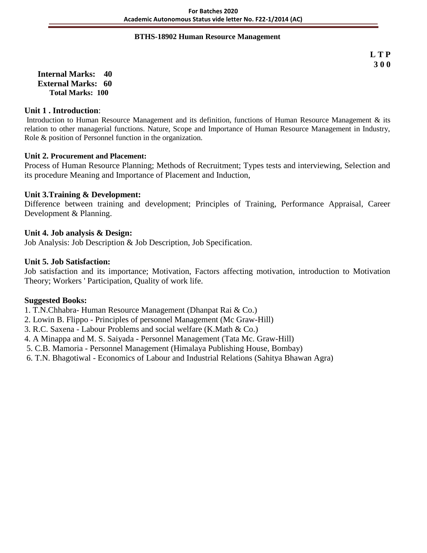#### **BTHS-18902 Human Resource Management**

**L T P 3 0 0**

**Internal Marks: 40 External Marks: 60 Total Marks: 100** 

### **Unit 1 . Introduction**:

Introduction to Human Resource Management and its definition, functions of Human Resource Management & its relation to other managerial functions. Nature, Scope and Importance of Human Resource Management in Industry, Role & position of Personnel function in the organization.

#### **Unit 2. Procurement and Placement:**

Process of Human Resource Planning; Methods of Recruitment; Types tests and interviewing, Selection and its procedure Meaning and Importance of Placement and Induction,

### **Unit 3.Training & Development:**

Difference between training and development; Principles of Training, Performance Appraisal, Career Development & Planning.

#### **Unit 4. Job analysis & Design:**

Job Analysis: Job Description & Job Description, Job Specification.

#### **Unit 5. Job Satisfaction:**

Job satisfaction and its importance; Motivation, Factors affecting motivation, introduction to Motivation Theory; Workers ' Participation, Quality of work life.

- 1. T.N.Chhabra- Human Resource Management (Dhanpat Rai & Co.)
- 2. Lowin B. Flippo Principles of personnel Management (Mc Graw-Hill)
- 3. R.C. Saxena Labour Problems and social welfare (K.Math & Co.)
- 4. A Minappa and M. S. Saiyada Personnel Management (Tata Mc. Graw-Hill)
- 5. C.B. Mamoria Personnel Management (Himalaya Publishing House, Bombay)
- 6. T.N. Bhagotiwal Economics of Labour and Industrial Relations (Sahitya Bhawan Agra)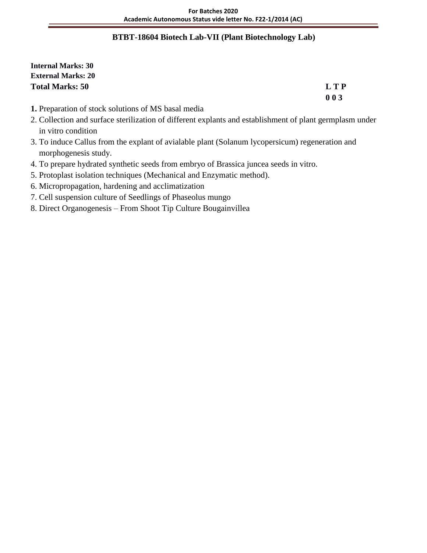### **BTBT-18604 Biotech Lab-VII (Plant Biotechnology Lab)**

**Internal Marks: 30 External Marks: 20 Total Marks: 50 L T P**

**0 0 3**

- **1.** Preparation of stock solutions of MS basal media
- 2. Collection and surface sterilization of different explants and establishment of plant germplasm under in vitro condition
- 3. To induce Callus from the explant of avialable plant (Solanum lycopersicum) regeneration and morphogenesis study.
- 4. To prepare hydrated synthetic seeds from embryo of Brassica juncea seeds in vitro.
- 5. Protoplast isolation techniques (Mechanical and Enzymatic method).
- 6. Micropropagation, hardening and acclimatization
- 7. Cell suspension culture of Seedlings of Phaseolus mungo
- 8. Direct Organogenesis From Shoot Tip Culture Bougainvillea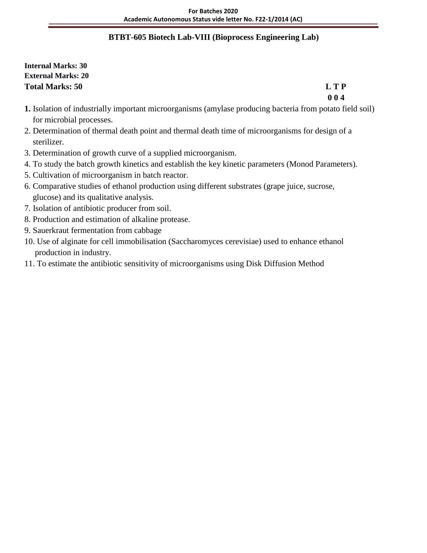# **BTBT-605 Biotech Lab-VIII (Bioprocess Engineering Lab)**

**Internal Marks: 30 External Marks: 20 Total Marks: 50 L T P**

**0 0 4**

- **1.** Isolation of industrially important microorganisms (amylase producing bacteria from potato field soil) for microbial processes.
- 2. Determination of thermal death point and thermal death time of microorganisms for design of a sterilizer.
- 3. Determination of growth curve of a supplied microorganism.
- 4. To study the batch growth kinetics and establish the key kinetic parameters (Monod Parameters).
- 5. Cultivation of microorganism in batch reactor.
- 6. Comparative studies of ethanol production using different substrates (grape juice, sucrose, glucose) and its qualitative analysis.
- 7. Isolation of antibiotic producer from soil.
- 8. Production and estimation of alkaline protease.
- 9. Sauerkraut fermentation from cabbage
- 10. Use of alginate for cell immobilisation (Saccharomyces cerevisiae) used to enhance ethanol production in industry.
- 11. To estimate the antibiotic sensitivity of microorganisms using Disk Diffusion Method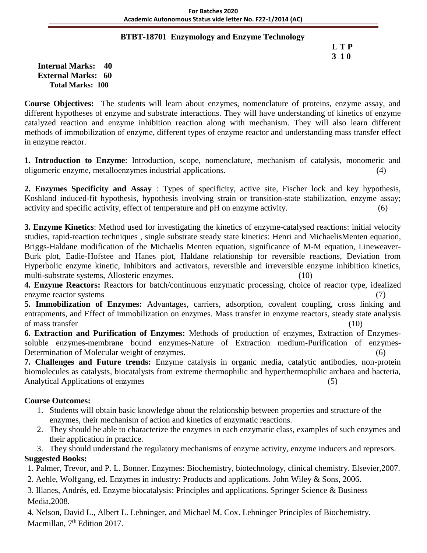### **BTBT-18701 Enzymology and Enzyme Technology**

 **L T P 3 1 0**

**Internal Marks: 40 External Marks: 60 Total Marks: 100** 

**Course Objectives:** The students will learn about enzymes, nomenclature of proteins, enzyme assay, and different hypotheses of enzyme and substrate interactions. They will have understanding of kinetics of enzyme catalyzed reaction and enzyme inhibition reaction along with mechanism. They will also learn different methods of immobilization of enzyme, different types of enzyme reactor and understanding mass transfer effect in enzyme reactor.

**1. Introduction to Enzyme**: Introduction, scope, nomenclature, mechanism of catalysis, monomeric and oligomeric enzyme, metalloenzymes industrial applications. (4)

**2. Enzymes Specificity and Assay** : Types of specificity, active site, Fischer lock and key hypothesis, Koshland induced-fit hypothesis, hypothesis involving strain or transition-state stabilization, enzyme assay; activity and specific activity, effect of temperature and pH on enzyme activity. (6)

**3. Enzyme Kinetics**: Method used for investigating the kinetics of enzyme-catalysed reactions: initial velocity studies, rapid-reaction techniques , single substrate steady state kinetics: Henri and MichaelisMenten equation, Briggs-Haldane modification of the Michaelis Menten equation, significance of M-M equation, Lineweaver-Burk plot, Eadie-Hofstee and Hanes plot, Haldane relationship for reversible reactions, Deviation from Hyperbolic enzyme kinetic, Inhibitors and activators, reversible and irreversible enzyme inhibition kinetics, multi-substrate systems, Allosteric enzymes. (10)

**4. Enzyme Reactors:** Reactors for batch/continuous enzymatic processing, choice of reactor type, idealized enzyme reactor systems (7)

**5. Immobilization of Enzymes:** Advantages, carriers, adsorption, covalent coupling, cross linking and entrapments, and Effect of immobilization on enzymes. Mass transfer in enzyme reactors, steady state analysis of mass transfer (10)

**6. Extraction and Purification of Enzymes:** Methods of production of enzymes, Extraction of Enzymessoluble enzymes-membrane bound enzymes-Nature of Extraction medium-Purification of enzymes-Determination of Molecular weight of enzymes. (6)

**7. Challenges and Future trends:** Enzyme catalysis in organic media, catalytic antibodies, non-protein biomolecules as catalysts, biocatalysts from extreme thermophilic and hyperthermophilic archaea and bacteria, Analytical Applications of enzymes (5)

# **Course Outcomes:**

- 1. Students will obtain basic knowledge about the relationship between properties and structure of the enzymes, their mechanism of action and kinetics of enzymatic reactions.
- 2. They should be able to characterize the enzymes in each enzymatic class, examples of such enzymes and their application in practice.

3. They should understand the regulatory mechanisms of enzyme activity, enzyme inducers and represors. **Suggested Books:**

1. Palmer, Trevor, and P. L. Bonner. Enzymes: Biochemistry, biotechnology, clinical chemistry. Elsevier,2007.

2. Aehle, Wolfgang, ed. Enzymes in industry: Products and applications. John Wiley & Sons, 2006.

3. Illanes, Andrés, ed. Enzyme biocatalysis: Principles and applications. Springer Science & Business Media,2008.

4. Nelson, David L., Albert L. Lehninger, and Michael M. Cox. Lehninger Principles of Biochemistry. Macmillan, 7<sup>th</sup> Edition 2017.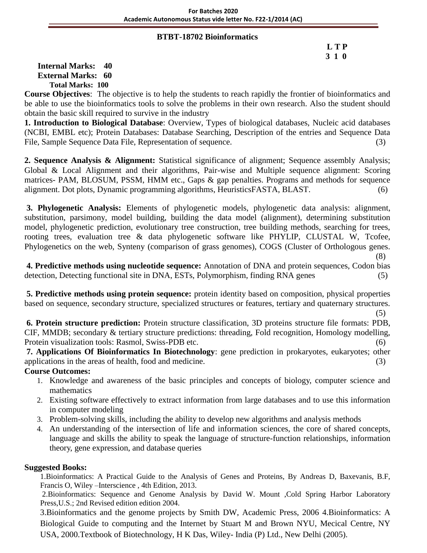#### **BTBT-18702 Bioinformatics**

# **L T P 3 1 0**

**Internal Marks: 40 External Marks: 60 Total Marks: 100** 

**Course Objectives**: The objective is to help the students to reach rapidly the frontier of bioinformatics and be able to use the bioinformatics tools to solve the problems in their own research. Also the student should obtain the basic skill required to survive in the industry

**1. Introduction to Biological Database**: Overview, Types of biological databases, Nucleic acid databases (NCBI, EMBL etc); Protein Databases: Database Searching, Description of the entries and Sequence Data File, Sample Sequence Data File, Representation of sequence. (3)

**2. Sequence Analysis & Alignment:** Statistical significance of alignment; Sequence assembly Analysis; Global & Local Alignment and their algorithms, Pair-wise and Multiple sequence alignment: Scoring matrices- PAM, BLOSUM, PSSM, HMM etc., Gaps & gap penalties. Programs and methods for sequence alignment. Dot plots, Dynamic programming algorithms, HeuristicsFASTA, BLAST. (6)

**3. Phylogenetic Analysis:** Elements of phylogenetic models, phylogenetic data analysis: alignment, substitution, parsimony, model building, building the data model (alignment), determining substitution model, phylogenetic prediction, evolutionary tree construction, tree building methods, searching for trees, rooting trees, evaluation tree & data phylogenetic software like PHYLIP, CLUSTAL W, Tcofee, Phylogenetics on the web, Synteny (comparison of grass genomes), COGS (Cluster of Orthologous genes. (8)

**4. Predictive methods using nucleotide sequence:** Annotation of DNA and protein sequences, Codon bias detection, Detecting functional site in DNA, ESTs, Polymorphism, finding RNA genes (5)

**5. Predictive methods using protein sequence:** protein identity based on composition, physical properties based on sequence, secondary structure, specialized structures or features, tertiary and quaternary structures.

 $(5)$ **6. Protein structure prediction:** Protein structure classification, 3D proteins structure file formats: PDB, CIF, MMDB; secondary & tertiary structure predictions: threading, Fold recognition, Homology modelling, Protein visualization tools: Rasmol, Swiss-PDB etc. (6)

**7. Applications Of Bioinformatics In Biotechnology**: gene prediction in prokaryotes, eukaryotes; other applications in the areas of health, food and medicine. (3)

# **Course Outcomes:**

- 1. Knowledge and awareness of the basic principles and concepts of biology, computer science and mathematics
- 2. Existing software effectively to extract information from large databases and to use this information in computer modeling
- 3. Problem-solving skills, including the ability to develop new algorithms and analysis methods
- 4. An understanding of the intersection of life and information sciences, the core of shared concepts, language and skills the ability to speak the language of structure-function relationships, information theory, gene expression, and database queries

# **Suggested Books:**

1.Bioinformatics: A Practical Guide to the Analysis of Genes and Proteins, By Andreas D, Baxevanis, B.F, Francis O, Wiley –Interscience , 4th Edition, 2013.

2.Bioinformatics: Sequence and Genome Analysis by David W. Mount ,Cold Spring Harbor Laboratory Press,U.S.; 2nd Revised edition edition 2004.

3.Bioinformatics and the genome projects by Smith DW, Academic Press, 2006 4.Bioinformatics: A Biological Guide to computing and the Internet by Stuart M and Brown NYU, Mecical Centre, NY USA, 2000.Textbook of Biotechnology, H K Das, Wiley- India (P) Ltd., New Delhi (2005).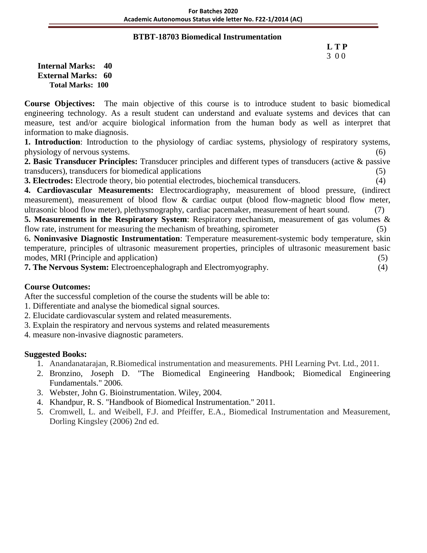#### **BTBT-18703 Biomedical Instrumentation**

# **L T P** 3 0 0

**Internal Marks: 40 External Marks: 60 Total Marks: 100** 

**Course Objectives:** The main objective of this course is to introduce student to basic biomedical engineering technology. As a result student can understand and evaluate systems and devices that can measure, test and/or acquire biological information from the human body as well as interpret that information to make diagnosis.

**1. Introduction**: Introduction to the physiology of cardiac systems, physiology of respiratory systems, physiology of nervous systems. (6)

**2. Basic Transducer Principles:** Transducer principles and different types of transducers (active & passive transducers), transducers for biomedical applications (5)

**3. Electrodes:** Electrode theory, bio potential electrodes, biochemical transducers. (4)

**4. Cardiovascular Measurements:** Electrocardiography, measurement of blood pressure, (indirect measurement), measurement of blood flow & cardiac output (blood flow-magnetic blood flow meter, ultrasonic blood flow meter), plethysmography, cardiac pacemaker, measurement of heart sound. (7)

**5. Measurements in the Respiratory System**: Respiratory mechanism, measurement of gas volumes & flow rate, instrument for measuring the mechanism of breathing, spirometer (5)

6**. Noninvasive Diagnostic Instrumentation**: Temperature measurement-systemic body temperature, skin temperature, principles of ultrasonic measurement properties, principles of ultrasonic measurement basic modes, MRI (Principle and application) (5)

**7. The Nervous System:** Electroencephalograph and Electromyography. (4)

# **Course Outcomes:**

After the successful completion of the course the students will be able to:

- 1. Differentiate and analyse the biomedical signal sources.
- 2. Elucidate cardiovascular system and related measurements.
- 3. Explain the respiratory and nervous systems and related measurements
- 4. measure non-invasive diagnostic parameters.

- 1. Anandanatarajan, R.Biomedical instrumentation and measurements. PHI Learning Pvt. Ltd., 2011.
- 2. Bronzino, Joseph D. "The Biomedical Engineering Handbook; Biomedical Engineering Fundamentals." 2006.
- 3. Webster, John G. Bioinstrumentation. Wiley, 2004.
- 4. Khandpur, R. S. "Handbook of Biomedical Instrumentation." 2011.
- 5. Cromwell, L. and Weibell, F.J. and Pfeiffer, E.A., Biomedical Instrumentation and Measurement, Dorling Kingsley (2006) 2nd ed.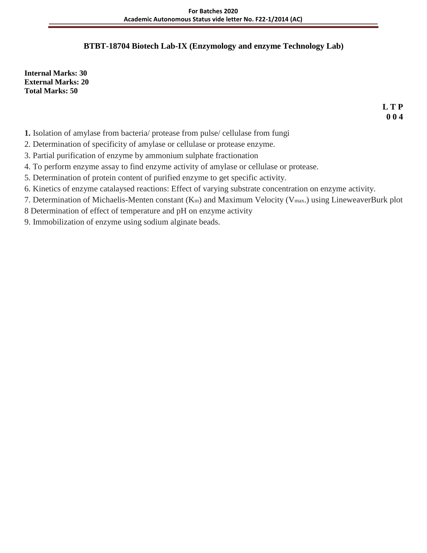# **BTBT-18704 Biotech Lab-IX (Enzymology and enzyme Technology Lab)**

**Internal Marks: 30 External Marks: 20 Total Marks: 50**

> **L T P 0 0 4**

- **1.** Isolation of amylase from bacteria/ protease from pulse/ cellulase from fungi
- 2. Determination of specificity of amylase or cellulase or protease enzyme.
- 3. Partial purification of enzyme by ammonium sulphate fractionation
- 4. To perform enzyme assay to find enzyme activity of amylase or cellulase or protease.
- 5. Determination of protein content of purified enzyme to get specific activity.
- 6. Kinetics of enzyme catalaysed reactions: Effect of varying substrate concentration on enzyme activity.
- 7. Determination of Michaelis-Menten constant (Km) and Maximum Velocity (Vmax.) using LineweaverBurk plot
- 8 Determination of effect of temperature and pH on enzyme activity
- 9. Immobilization of enzyme using sodium alginate beads.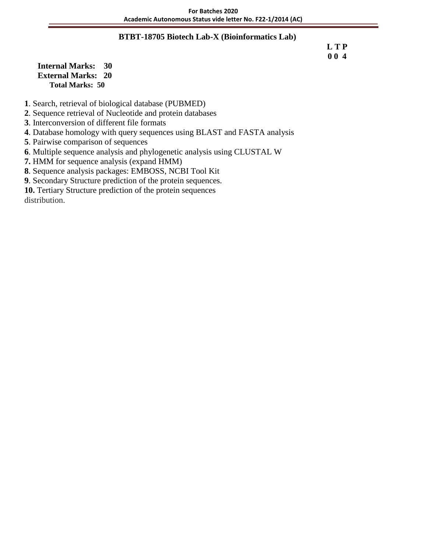### **BTBT-18705 Biotech Lab-X (Bioinformatics Lab)**

 **L T P 0 0 4**

**Internal Marks: 30 External Marks: 20 Total Marks: 50** 

**1**. Search, retrieval of biological database (PUBMED)

**2**. Sequence retrieval of Nucleotide and protein databases

**3**. Interconversion of different file formats

**4**. Database homology with query sequences using BLAST and FASTA analysis

**5**. Pairwise comparison of sequences

**6**. Multiple sequence analysis and phylogenetic analysis using CLUSTAL W

**7.** HMM for sequence analysis (expand HMM)

**8**. Sequence analysis packages: EMBOSS, NCBI Tool Kit

**9**. Secondary Structure prediction of the protein sequences.

**10.** Tertiary Structure prediction of the protein sequences

distribution.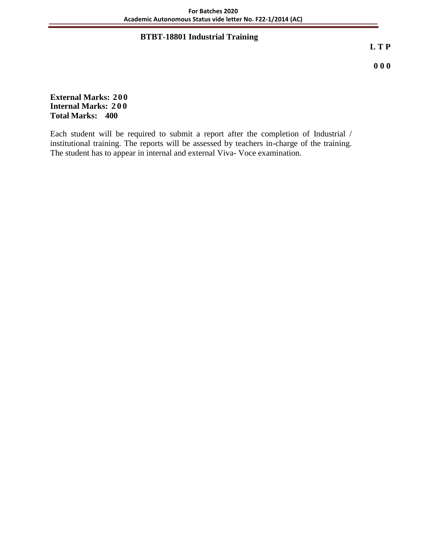# **BTBT-18801 Industrial Training**

**L T P**

**0 0 0**

**External Marks: 200 Internal Marks: 200 Total Marks: 400**

Each student will be required to submit a report after the completion of Industrial / institutional training. The reports will be assessed by teachers in-charge of the training. The student has to appear in internal and external Viva- Voce examination.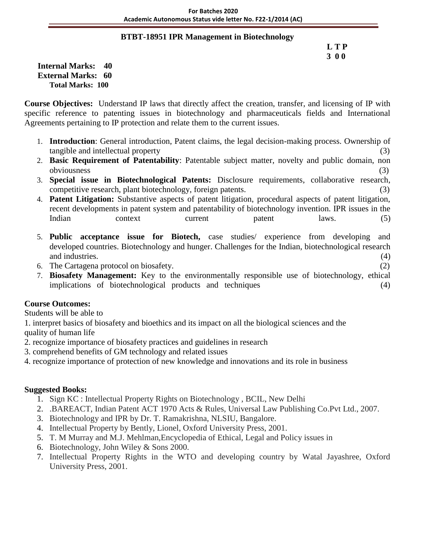### **BTBT-18951 IPR Management in Biotechnology**

### **L T P 3 0 0**

**Internal Marks: 40 External Marks: 60 Total Marks: 100** 

**Course Objectives:** Understand IP laws that directly affect the creation, transfer, and licensing of IP with specific reference to patenting issues in biotechnology and pharmaceuticals fields and International Agreements pertaining to IP protection and relate them to the current issues.

- 1. **Introduction**: General introduction, Patent claims, the legal decision-making process. Ownership of tangible and intellectual property (3)
- 2. **Basic Requirement of Patentability**: Patentable subject matter, novelty and public domain, non obviousness (3)
- 3. **Special issue in Biotechnological Patents:** Disclosure requirements, collaborative research, competitive research, plant biotechnology, foreign patents. (3)
- 4. **Patent Litigation:** Substantive aspects of patent litigation, procedural aspects of patent litigation, recent developments in patent system and patentability of biotechnology invention. IPR issues in the Indian context current patent laws. (5)
- 5. **Public acceptance issue for Biotech,** case studies/ experience from developing and developed countries. Biotechnology and hunger. Challenges for the Indian, biotechnological research and industries. (4)
- 6. The Cartagena protocol on biosafety. (2)
- 7. **Biosafety Management:** Key to the environmentally responsible use of biotechnology, ethical implications of biotechnological products and techniques (4)

# **Course Outcomes:**

Students will be able to

1. interpret basics of biosafety and bioethics and its impact on all the biological sciences and the quality of human life

- 2. recognize importance of biosafety practices and guidelines in research
- 3. comprehend benefits of GM technology and related issues
- 4. recognize importance of protection of new knowledge and innovations and its role in business

- 1. Sign KC : Intellectual Property Rights on Biotechnology , BCIL, New Delhi
- 2. .BAREACT, Indian Patent ACT 1970 Acts & Rules, Universal Law Publishing Co.Pvt Ltd., 2007.
- 3. Biotechnology and IPR by Dr. T. Ramakrishna, NLSIU, Bangalore.
- 4. Intellectual Property by Bently, Lionel, Oxford University Press, 2001.
- 5. T. M Murray and M.J. Mehlman,Encyclopedia of Ethical, Legal and Policy issues in
- 6. Biotechnology, John Wiley & Sons 2000.
- 7. Intellectual Property Rights in the WTO and developing country by Watal Jayashree, Oxford University Press, 2001.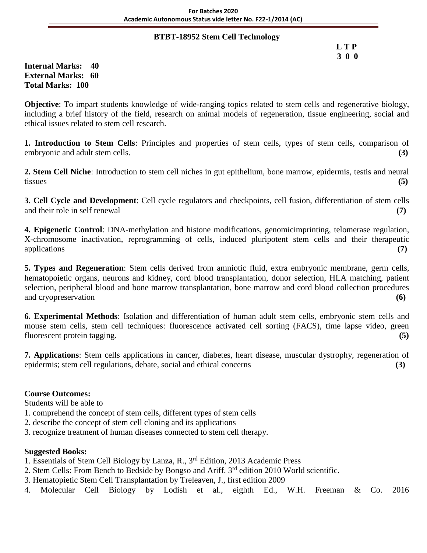#### **BTBT-18952 Stem Cell Technology**

 **L T P 3 0 0**

### **Internal Marks: 40 External Marks: 60 Total Marks: 100**

**Objective**: To impart students knowledge of wide-ranging topics related to stem cells and regenerative biology, including a brief history of the field, research on animal models of regeneration, tissue engineering, social and ethical issues related to stem cell research.

**1. Introduction to Stem Cells**: Principles and properties of stem cells, types of stem cells, comparison of embryonic and adult stem cells. **(3)**

**2. Stem Cell Niche**: Introduction to stem cell niches in gut epithelium, bone marrow, epidermis, testis and neural tissues **(5)**

**3. Cell Cycle and Development**: Cell cycle regulators and checkpoints, cell fusion, differentiation of stem cells and their role in self renewal **(7)**

**4. Epigenetic Control**: DNA-methylation and histone modifications, genomicimprinting, telomerase regulation, X-chromosome inactivation, reprogramming of cells, induced pluripotent stem cells and their therapeutic applications **(7)**

**5. Types and Regeneration**: Stem cells derived from amniotic fluid, extra embryonic membrane, germ cells, hematopoietic organs, neurons and kidney, cord blood transplantation, donor selection, HLA matching, patient selection, peripheral blood and bone marrow transplantation, bone marrow and cord blood collection procedures and cryopreservation **(6)**

**6. Experimental Methods**: Isolation and differentiation of human adult stem cells, embryonic stem cells and mouse stem cells, stem cell techniques: fluorescence activated cell sorting (FACS), time lapse video, green fluorescent protein tagging. **(5)**

**7. Applications**: Stem cells applications in cancer, diabetes, heart disease, muscular dystrophy, regeneration of epidermis; stem cell regulations, debate, social and ethical concerns **(3)**

# **Course Outcomes:**

Students will be able to

- 1. comprehend the concept of stem cells, different types of stem cells
- 2. describe the concept of stem cell cloning and its applications
- 3. recognize treatment of human diseases connected to stem cell therapy.

- 1. Essentials of Stem Cell Biology by Lanza, R., 3rd Edition, 2013 Academic Press
- 2. Stem Cells: From Bench to Bedside by Bongso and Ariff. 3<sup>rd</sup> edition 2010 World scientific.
- 3. Hematopietic Stem Cell Transplantation by Treleaven, J., first edition 2009
- 4. Molecular Cell Biology by Lodish et al., eighth Ed., W.H. Freeman & Co. 2016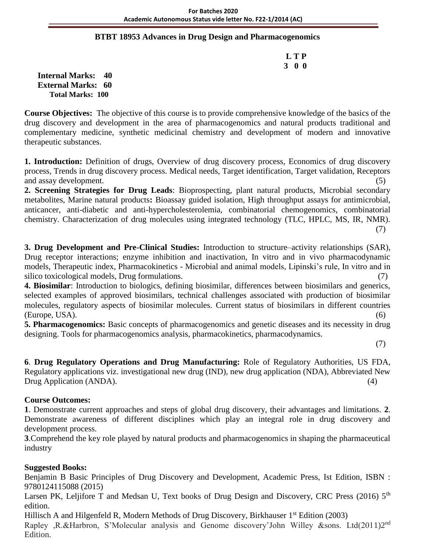### **BTBT 18953 Advances in Drug Design and Pharmacogenomics**

 **L T P 3 0 0**

**Internal Marks: 40 External Marks: 60 Total Marks: 100** 

**Course Objectives:** The objective of this course is to provide comprehensive knowledge of the basics of the drug discovery and development in the area of pharmacogenomics and natural products traditional and complementary medicine, synthetic medicinal chemistry and development of modern and innovative therapeutic substances.

**1. Introduction:** Definition of drugs, Overview of drug discovery process, Economics of drug discovery process, Trends in drug discovery process. Medical needs, Target identification, Target validation, Receptors and assay development. (5)

**2. Screening Strategies for Drug Leads**: Bioprospecting, plant natural products, Microbial secondary metabolites, Marine natural products**:** Bioassay guided isolation, High throughput assays for antimicrobial, anticancer, anti-diabetic and anti-hypercholesterolemia, combinatorial chemogenomics, combinatorial chemistry. Characterization of drug molecules using integrated technology (TLC, HPLC, MS, IR, NMR).

(7)

**3. Drug Development and Pre-Clinical Studies:** Introduction to structure–activity relationships (SAR), Drug receptor interactions; enzyme inhibition and inactivation, In vitro and in vivo pharmacodynamic models, Therapeutic index, Pharmacokinetics - Microbial and animal models, Lipinski's rule, In vitro and in silico toxicological models, Drug formulations.

**4. Biosimilar**: Introduction to biologics, defining biosimilar, differences between biosimilars and generics, selected examples of approved biosimilars, technical challenges associated with production of biosimilar molecules, regulatory aspects of biosimilar molecules. Current status of biosimilars in different countries (Europe, USA). (6)

**5. Pharmacogenomics:** Basic concepts of pharmacogenomics and genetic diseases and its necessity in drug designing. Tools for pharmacogenomics analysis, pharmacokinetics, pharmacodynamics.

(7)

**6**. **Drug Regulatory Operations and Drug Manufacturing:** Role of Regulatory Authorities, US FDA, Regulatory applications viz. investigational new drug (IND), new drug application (NDA), Abbreviated New Drug Application (ANDA). (4)

# **Course Outcomes:**

**1**. Demonstrate current approaches and steps of global drug discovery, their advantages and limitations. **2**. Demonstrate awareness of different disciplines which play an integral role in drug discovery and development process.

**3**.Comprehend the key role played by natural products and pharmacogenomics in shaping the pharmaceutical industry

# **Suggested Books:**

Benjamin B Basic Principles of Drug Discovery and Development, Academic Press, Ist Edition, ISBN : 9780124115088 (2015)

Larsen PK, Leljifore T and Medsan U, Text books of Drug Design and Discovery, CRC Press (2016) 5<sup>th</sup> edition.

Hillisch A and Hilgenfeld R, Modern Methods of Drug Discovery, Birkhauser 1<sup>st</sup> Edition (2003) Rapley ,R.&Harbron, S'Molecular analysis and Genome discovery'John Willey &sons. Ltd(2011)2nd Edition.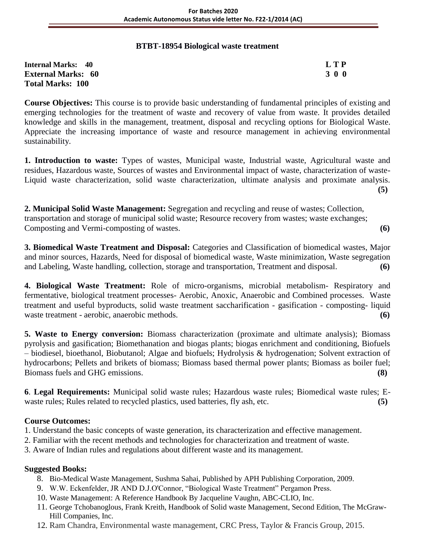# **BTBT-18954 Biological waste treatment**

| <b>Internal Marks: 40</b> | <b>LTP</b> |
|---------------------------|------------|
| <b>External Marks: 60</b> | 300        |
| <b>Total Marks: 100</b>   |            |

**Course Objectives:** This course is to provide basic understanding of fundamental principles of existing and emerging technologies for the treatment of waste and recovery of value from waste. It provides detailed knowledge and skills in the management, treatment, disposal and recycling options for Biological Waste. Appreciate the increasing importance of waste and resource management in achieving environmental sustainability.

**1. Introduction to waste:** Types of wastes, Municipal waste, Industrial waste, Agricultural waste and residues, Hazardous waste, Sources of wastes and Environmental impact of waste, characterization of waste-Liquid waste characterization, solid waste characterization, ultimate analysis and proximate analysis. **(5)**

**2. Municipal Solid Waste Management:** Segregation and recycling and reuse of wastes; Collection, transportation and storage of municipal solid waste; Resource recovery from wastes; waste exchanges; Composting and Vermi-composting of wastes. **(6)**

**3. Biomedical Waste Treatment and Disposal:** Categories and Classification of biomedical wastes, Major and minor sources, Hazards, Need for disposal of biomedical waste, Waste minimization, Waste segregation and Labeling, Waste handling, collection, storage and transportation, Treatment and disposal. **(6)**

**4. Biological Waste Treatment:** Role of micro-organisms, microbial metabolism- Respiratory and fermentative, biological treatment processes- Aerobic, Anoxic, Anaerobic and Combined processes. Waste treatment and useful byproducts, solid waste treatment saccharification - gasification - composting- liquid waste treatment - aerobic, anaerobic methods. **(6)** 

**5. Waste to Energy conversion:** Biomass characterization (proximate and ultimate analysis); Biomass pyrolysis and gasification; Biomethanation and biogas plants; biogas enrichment and conditioning, Biofuels – biodiesel, bioethanol, Biobutanol; Algae and biofuels; Hydrolysis & hydrogenation; Solvent extraction of hydrocarbons; Pellets and brikets of biomass; Biomass based thermal power plants; Biomass as boiler fuel; Biomass fuels and GHG emissions. **(8)**

**6**. **Legal Requirements:** Municipal solid waste rules; Hazardous waste rules; Biomedical waste rules; Ewaste rules; Rules related to recycled plastics, used batteries, fly ash, etc. **(5)**

# **Course Outcomes:**

1. Understand the basic concepts of waste generation, its characterization and effective management.

- 2. Familiar with the recent methods and technologies for characterization and treatment of waste.
- 3. Aware of Indian rules and regulations about different waste and its management.

- 8. Bio-Medical Waste Management, Sushma Sahai, Published by APH Publishing Corporation, 2009.
- 9. W.W. Eckenfelder, JR AND D.J.O'Connor, "Biological Waste Treatment" Pergamon Press.
- 10. Waste Management: A Reference Handbook By Jacqueline Vaughn, ABC-CLIO, Inc.
- 11. George Tchobanoglous, Frank Kreith, Handbook of Solid waste Management, Second Edition, The McGraw-Hill Companies, Inc.
- 12. Ram Chandra, Environmental waste management, CRC Press, Taylor & Francis Group, 2015.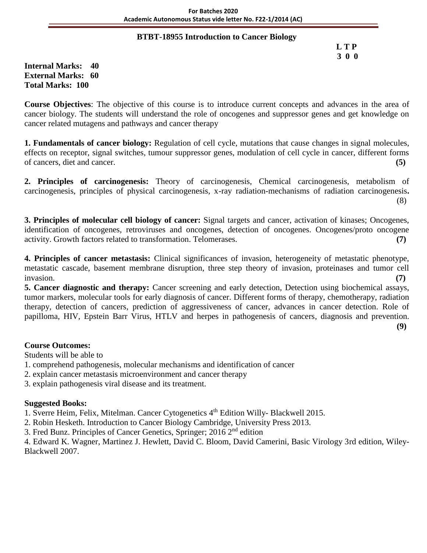### **BTBT-18955 Introduction to Cancer Biology**

 **L T P 3 0 0**

**Internal Marks: 40 External Marks: 60 Total Marks: 100** 

**Course Objectives**: The objective of this course is to introduce current concepts and advances in the area of cancer biology. The students will understand the role of oncogenes and suppressor genes and get knowledge on cancer related mutagens and pathways and cancer therapy

**1. Fundamentals of cancer biology:** Regulation of cell cycle, mutations that cause changes in signal molecules, effects on receptor, signal switches, tumour suppressor genes, modulation of cell cycle in cancer, different forms of cancers, diet and cancer. **(5)**

**2. Principles of carcinogenesis:** Theory of carcinogenesis, Chemical carcinogenesis, metabolism of carcinogenesis, principles of physical carcinogenesis, x-ray radiation-mechanisms of radiation carcinogenesis**.** (8)

**3. Principles of molecular cell biology of cancer:** Signal targets and cancer, activation of kinases; Oncogenes, identification of oncogenes, retroviruses and oncogenes, detection of oncogenes. Oncogenes/proto oncogene activity. Growth factors related to transformation. Telomerases. **(7)**

**4. Principles of cancer metastasis:** Clinical significances of invasion, heterogeneity of metastatic phenotype, metastatic cascade, basement membrane disruption, three step theory of invasion, proteinases and tumor cell invasion. **(7)**

**5. Cancer diagnostic and therapy:** Cancer screening and early detection, Detection using biochemical assays, tumor markers, molecular tools for early diagnosis of cancer. Different forms of therapy, chemotherapy, radiation therapy, detection of cancers, prediction of aggressiveness of cancer, advances in cancer detection. Role of papilloma, HIV, Epstein Barr Virus, HTLV and herpes in pathogenesis of cancers, diagnosis and prevention.

**(9)**

# **Course Outcomes:**

Students will be able to

- 1. comprehend pathogenesis, molecular mechanisms and identification of cancer
- 2. explain cancer metastasis microenvironment and cancer therapy

3. explain pathogenesis viral disease and its treatment.

# **Suggested Books:**

1. Sverre Heim, Felix, Mitelman. Cancer Cytogenetics 4<sup>th</sup> Edition Willy- Blackwell 2015.

2. Robin Hesketh. Introduction to Cancer Biology Cambridge, University Press 2013.

3. Fred Bunz. Principles of Cancer Genetics, Springer; 2016 2nd edition

4. Edward K. Wagner, Martinez J. Hewlett, David C. Bloom, David Camerini, Basic Virology 3rd edition, Wiley-Blackwell 2007.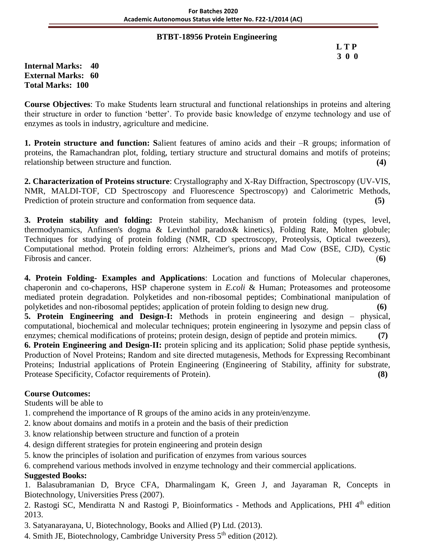### **BTBT-18956 Protein Engineering**

 **L T P 3 0 0**

**Internal Marks: 40 External Marks: 60 Total Marks: 100** 

**Course Objectives**: To make Students learn structural and functional relationships in proteins and altering their structure in order to function 'better'. To provide basic knowledge of enzyme technology and use of enzymes as tools in industry, agriculture and medicine.

**1. Protein structure and function: S**alient features of amino acids and their –R groups; information of proteins, the Ramachandran plot, folding, tertiary structure and structural domains and motifs of proteins; relationship between structure and function. **(4)**

**2. Characterization of Proteins structure**: Crystallography and X-Ray Diffraction, Spectroscopy (UV-VIS, NMR, MALDI-TOF, CD Spectroscopy and Fluorescence Spectroscopy) and Calorimetric Methods, Prediction of protein structure and conformation from sequence data. **(5)** 

**3. Protein stability and folding:** Protein stability, Mechanism of protein folding (types, level, thermodynamics, Anfinsen's dogma & Levinthol paradox& kinetics), Folding Rate, Molten globule; Techniques for studying of protein folding (NMR, CD spectroscopy, Proteolysis, Optical tweezers), Computational method. Protein folding errors: Alzheimer's, prions and Mad Cow (BSE, CJD), Cystic Fibrosis and cancer. **(6)**  $(6)$ 

**4. Protein Folding- Examples and Applications**: Location and functions of Molecular chaperones, chaperonin and co-chaperons, HSP chaperone system in *E.coli* & Human; Proteasomes and proteosome mediated protein degradation. Polyketides and non-ribosomal peptides; Combinational manipulation of polyketides and non-ribosomal peptides; application of protein folding to design new drug. **(6)**

**5. Protein Engineering and Design-I:** Methods in protein engineering and design – physical, computational, biochemical and molecular techniques; protein engineering in lysozyme and pepsin class of enzymes; chemical modifications of proteins; protein design, design of peptide and protein mimics. **(7)**

**6. Protein Engineering and Design-II:** protein splicing and its application; Solid phase peptide synthesis, Production of Novel Proteins; Random and site directed mutagenesis, Methods for Expressing Recombinant Proteins; Industrial applications of Protein Engineering (Engineering of Stability, affinity for substrate, Protease Specificity, Cofactor requirements of Protein). **(8)**

# **Course Outcomes:**

Students will be able to

- 1. comprehend the importance of R groups of the amino acids in any protein/enzyme.
- 2. know about domains and motifs in a protein and the basis of their prediction
- 3. know relationship between structure and function of a protein
- 4. design different strategies for protein engineering and protein design
- 5. know the principles of isolation and purification of enzymes from various sources

6. comprehend various methods involved in enzyme technology and their commercial applications.

# **Suggested Books:**

1. Balasubramanian D, Bryce CFA, Dharmalingam K, Green J, and Jayaraman R, Concepts in Biotechnology, Universities Press (2007).

2. Rastogi SC, Mendiratta N and Rastogi P, Bioinformatics - Methods and Applications, PHI 4<sup>th</sup> edition 2013.

3. Satyanarayana, U, Biotechnology, Books and Allied (P) Ltd. (2013).

4. Smith JE, Biotechnology, Cambridge University Press  $5<sup>th</sup>$  edition (2012).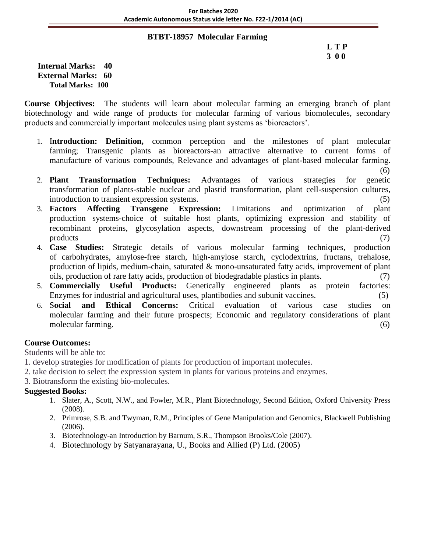### **BTBT-18957 Molecular Farming**

**Internal Marks: 40 External Marks: 60 Total Marks: 100** 

**Course Objectives:** The students will learn about molecular farming an emerging branch of plant biotechnology and wide range of products for molecular farming of various biomolecules, secondary products and commercially important molecules using plant systems as 'bioreactors'.

- 1. I**ntroduction: Definition,** common perception and the milestones of plant molecular farming; Transgenic plants as bioreactors-an attractive alternative to current forms of manufacture of various compounds, Relevance and advantages of plant-based molecular farming.
	- (6)
- 2. **Plant Transformation Techniques:** Advantages of various strategies for genetic transformation of plants-stable nuclear and plastid transformation, plant cell-suspension cultures, introduction to transient expression systems. (5)
- 3. **Factors Affecting Transgene Expression:** Limitations and optimization of plant production systems-choice of suitable host plants, optimizing expression and stability of recombinant proteins, glycosylation aspects, downstream processing of the plant-derived products (7)
- 4. **Case Studies:** Strategic details of various molecular farming techniques, production of carbohydrates, amylose-free starch, high-amylose starch, cyclodextrins, fructans, trehalose, production of lipids, medium-chain, saturated & mono-unsaturated fatty acids, improvement of plant oils, production of rare fatty acids, production of biodegradable plastics in plants. (7)
- 5. **Commercially Useful Products:** Genetically engineered plants as protein factories: Enzymes for industrial and agricultural uses, plantibodies and subunit vaccines. (5)
- 6. S**ocial and Ethical Concerns:** Critical evaluation of various case studies on molecular farming and their future prospects; Economic and regulatory considerations of plant molecular farming. (6) (6)

# **Course Outcomes:**

Students will be able to:

- 1. develop strategies for modification of plants for production of important molecules.
- 2. take decision to select the expression system in plants for various proteins and enzymes.
- 3. Biotransform the existing bio-molecules.

- 1. Slater, A., Scott, N.W., and Fowler, M.R., Plant Biotechnology, Second Edition, Oxford University Press (2008).
- 2. Primrose, S.B. and Twyman, R.M., Principles of Gene Manipulation and Genomics, Blackwell Publishing (2006).
- 3. Biotechnology-an Introduction by Barnum, S.R., Thompson Brooks/Cole (2007).
- 4. Biotechnology by Satyanarayana, U., Books and Allied (P) Ltd. (2005)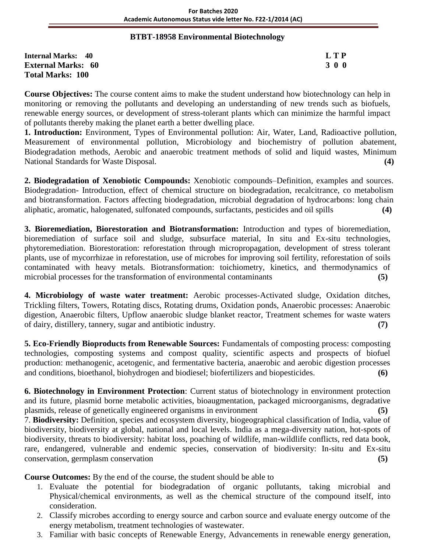### **BTBT-18958 Environmental Biotechnology**

**Internal Marks: 40 L T P External Marks: 60 3 0 0** 3 0 0 3 0 0 3 0 0 3 0 0 3 0 0 3 0 0 3 0 0 3 0 0 3 0 0 3 0 4  $\sigma$ **Total Marks: 100** 

**Course Objectives:** The course content aims to make the student understand how biotechnology can help in monitoring or removing the pollutants and developing an understanding of new trends such as biofuels, renewable energy sources, or development of stress-tolerant plants which can minimize the harmful impact of pollutants thereby making the planet earth a better dwelling place.

**1. Introduction:** Environment, Types of Environmental pollution: Air, Water, Land, Radioactive pollution, Measurement of environmental pollution, Microbiology and biochemistry of pollution abatement, Biodegradation methods, Aerobic and anaerobic treatment methods of solid and liquid wastes, Minimum National Standards for Waste Disposal. **(4)**

**2. Biodegradation of Xenobiotic Compounds:** Xenobiotic compounds–Definition, examples and sources. Biodegradation- Introduction, effect of chemical structure on biodegradation, recalcitrance, co metabolism and biotransformation. Factors affecting biodegradation, microbial degradation of hydrocarbons: long chain aliphatic, aromatic, halogenated, sulfonated compounds, surfactants, pesticides and oil spills **(4)**

**3. Bioremediation, Biorestoration and Biotransformation:** Introduction and types of bioremediation, bioremediation of surface soil and sludge, subsurface material, In situ and Ex-situ technologies, phytoremediation. Biorestoration: reforestation through micropropagation, development of stress tolerant plants, use of mycorrhizae in reforestation, use of microbes for improving soil fertility, reforestation of soils contaminated with heavy metals. Biotransformation: toichiometry, kinetics, and thermodynamics of microbial processes for the transformation of environmental contaminants **(5)**

**4. Microbiology of waste water treatment:** Aerobic processes-Activated sludge, Oxidation ditches, Trickling filters, Towers, Rotating discs, Rotating drums, Oxidation ponds, Anaerobic processes: Anaerobic digestion, Anaerobic filters, Upflow anaerobic sludge blanket reactor, Treatment schemes for waste waters of dairy, distillery, tannery, sugar and antibiotic industry. **(7)**

**5. Eco-Friendly Bioproducts from Renewable Sources:** Fundamentals of composting process: composting technologies, composting systems and compost quality, scientific aspects and prospects of biofuel production: methanogenic, acetogenic, and fermentative bacteria, anaerobic and aerobic digestion processes and conditions, bioethanol, biohydrogen and biodiesel; biofertilizers and biopesticides. **(6)**

**6. Biotechnology in Environment Protection**: Current status of biotechnology in environment protection and its future, plasmid borne metabolic activities, bioaugmentation, packaged microorganisms, degradative plasmids, release of genetically engineered organisms in environment **(5)**

7. **Biodiversity:** Definition, species and ecosystem diversity, biogeographical classification of India, value of biodiversity, biodiversity at global, national and local levels. India as a mega-diversity nation, hot-spots of biodiversity, threats to biodiversity: habitat loss, poaching of wildlife, man-wildlife conflicts, red data book, rare, endangered, vulnerable and endemic species, conservation of biodiversity: In-situ and Ex-situ conservation, germplasm conservation **(5)**

**Course Outcomes:** By the end of the course, the student should be able to

- 1. Evaluate the potential for biodegradation of organic pollutants, taking microbial and Physical/chemical environments, as well as the chemical structure of the compound itself, into consideration.
- 2. Classify microbes according to energy source and carbon source and evaluate energy outcome of the energy metabolism, treatment technologies of wastewater.
- 3. Familiar with basic concepts of Renewable Energy, Advancements in renewable energy generation,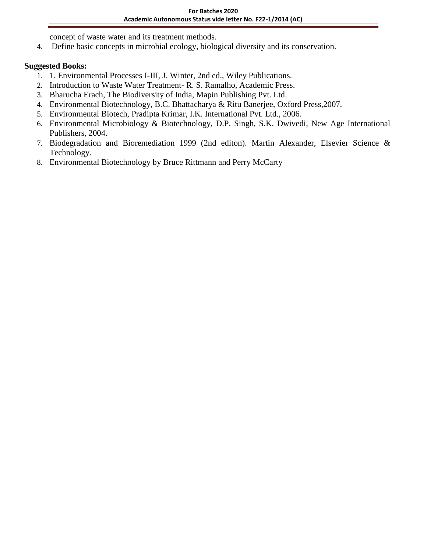concept of waste water and its treatment methods.

4. Define basic concepts in microbial ecology, biological diversity and its conservation.

- 1. 1. Environmental Processes I-III, J. Winter, 2nd ed., Wiley Publications.
- 2. Introduction to Waste Water Treatment- R. S. Ramalho, Academic Press.
- 3. Bharucha Erach, The Biodiversity of India, Mapin Publishing Pvt. Ltd.
- 4. Environmental Biotechnology, B.C. Bhattacharya & Ritu Banerjee, Oxford Press,2007.
- 5. Environmental Biotech, Pradipta Krimar, I.K. International Pvt. Ltd., 2006.
- 6. Environmental Microbiology & Biotechnology, D.P. Singh, S.K. Dwivedi, New Age International Publishers, 2004.
- 7. Biodegradation and Bioremediation 1999 (2nd editon). Martin Alexander, Elsevier Science & Technology.
- 8. Environmental Biotechnology by Bruce Rittmann and Perry McCarty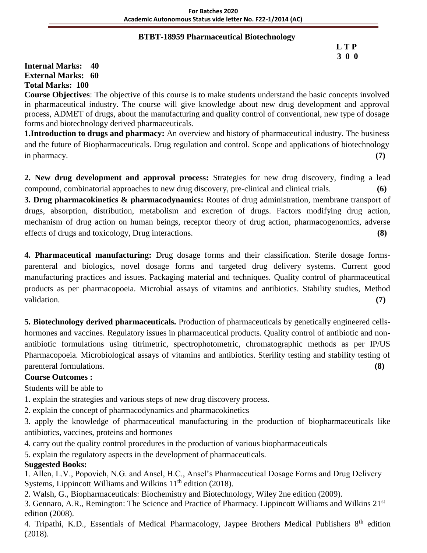# **BTBT-18959 Pharmaceutical Biotechnology**

# **L T P 3 0 0**

**Internal Marks: 40 External Marks: 60 Total Marks: 100** 

**Course Objectives**: The objective of this course is to make students understand the basic concepts involved in pharmaceutical industry. The course will give knowledge about new drug development and approval process, ADMET of drugs, about the manufacturing and quality control of conventional, new type of dosage forms and biotechnology derived pharmaceuticals.

**1.Introduction to drugs and pharmacy:** An overview and history of pharmaceutical industry. The business and the future of Biopharmaceuticals. Drug regulation and control. Scope and applications of biotechnology in pharmacy. **(7)**

**2. New drug development and approval process:** Strategies for new drug discovery, finding a lead compound, combinatorial approaches to new drug discovery, pre-clinical and clinical trials. **(6)**

**3. Drug pharmacokinetics & pharmacodynamics:** Routes of drug administration, membrane transport of drugs, absorption, distribution, metabolism and excretion of drugs. Factors modifying drug action, mechanism of drug action on human beings, receptor theory of drug action, pharmacogenomics, adverse effects of drugs and toxicology, Drug interactions. **(8)**

**4. Pharmaceutical manufacturing:** Drug dosage forms and their classification. Sterile dosage formsparenteral and biologics, novel dosage forms and targeted drug delivery systems. Current good manufacturing practices and issues. Packaging material and techniques. Quality control of pharmaceutical products as per pharmacopoeia. Microbial assays of vitamins and antibiotics. Stability studies, Method validation. **(7)**

**5. Biotechnology derived pharmaceuticals.** Production of pharmaceuticals by genetically engineered cellshormones and vaccines. Regulatory issues in pharmaceutical products. Quality control of antibiotic and nonantibiotic formulations using titrimetric, spectrophotometric, chromatographic methods as per IP/US Pharmacopoeia. Microbiological assays of vitamins and antibiotics. Sterility testing and stability testing of parenteral formulations. **(8)**

# **Course Outcomes :**

Students will be able to

1. explain the strategies and various steps of new drug discovery process.

2. explain the concept of pharmacodynamics and pharmacokinetics

3. apply the knowledge of pharmaceutical manufacturing in the production of biopharmaceuticals like antibiotics, vaccines, proteins and hormones

4. carry out the quality control procedures in the production of various biopharmaceuticals

5. explain the regulatory aspects in the development of pharmaceuticals.

# **Suggested Books:**

1. Allen, L.V., Popovich, N.G. and Ansel, H.C., Ansel's Pharmaceutical Dosage Forms and Drug Delivery Systems, Lippincott Williams and Wilkins 11<sup>th</sup> edition (2018).

2. Walsh, G., Biopharmaceuticals: Biochemistry and Biotechnology, Wiley 2ne edition (2009).

3. Gennaro, A.R., Remington: The Science and Practice of Pharmacy. Lippincott Williams and Wilkins 21st edition (2008).

4. Tripathi, K.D., Essentials of Medical Pharmacology, Jaypee Brothers Medical Publishers 8<sup>th</sup> edition (2018).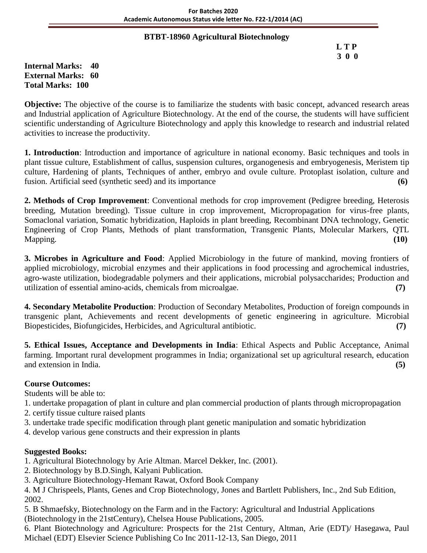### **BTBT-18960 Agricultural Biotechnology**

|  | LTP |
|--|-----|
|  | 300 |

**Internal Marks: 40 External Marks: 60 Total Marks: 100** 

**Objective:** The objective of the course is to familiarize the students with basic concept, advanced research areas and Industrial application of Agriculture Biotechnology. At the end of the course, the students will have sufficient scientific understanding of Agriculture Biotechnology and apply this knowledge to research and industrial related activities to increase the productivity.

**1. Introduction**: Introduction and importance of agriculture in national economy. Basic techniques and tools in plant tissue culture, Establishment of callus, suspension cultures, organogenesis and embryogenesis, Meristem tip culture, Hardening of plants, Techniques of anther, embryo and ovule culture. Protoplast isolation, culture and fusion. Artificial seed (synthetic seed) and its importance **(6)**

**2. Methods of Crop Improvement**: Conventional methods for crop improvement (Pedigree breeding, Heterosis breeding, Mutation breeding). Tissue culture in crop improvement, Micropropagation for virus-free plants, Somaclonal variation, Somatic hybridization, Haploids in plant breeding, Recombinant DNA technology, Genetic Engineering of Crop Plants, Methods of plant transformation, Transgenic Plants, Molecular Markers, QTL Mapping. **(10)**

**3. Microbes in Agriculture and Food**: Applied Microbiology in the future of mankind, moving frontiers of applied microbiology, microbial enzymes and their applications in food processing and agrochemical industries, agro-waste utilization, biodegradable polymers and their applications, microbial polysaccharides; Production and utilization of essential amino-acids, chemicals from microalgae. **(7)**

**4. Secondary Metabolite Production**: Production of Secondary Metabolites, Production of foreign compounds in transgenic plant, Achievements and recent developments of genetic engineering in agriculture. Microbial Biopesticides, Biofungicides, Herbicides, and Agricultural antibiotic. **(7)**

**5. Ethical Issues, Acceptance and Developments in India**: Ethical Aspects and Public Acceptance, Animal farming. Important rural development programmes in India; organizational set up agricultural research, education and extension in India. **(5)**

# **Course Outcomes:**

Students will be able to:

- 1. undertake propagation of plant in culture and plan commercial production of plants through micropropagation
- 2. certify tissue culture raised plants
- 3. undertake trade specific modification through plant genetic manipulation and somatic hybridization
- 4. develop various gene constructs and their expression in plants

# **Suggested Books:**

- 1. Agricultural Biotechnology by Arie Altman. Marcel Dekker, Inc. (2001).
- 2. Biotechnology by B.D.Singh, Kalyani Publication.
- 3. Agriculture Biotechnology-Hemant Rawat, Oxford Book Company
- 4. M J Chrispeels, Plants, Genes and Crop Biotechnology, Jones and Bartlett Publishers, Inc., 2nd Sub Edition, 2002.
- 5. B Shmaefsky, Biotechnology on the Farm and in the Factory: Agricultural and Industrial Applications (Biotechnology in the 21stCentury), Chelsea House Publications, 2005.

6. Plant Biotechnology and Agriculture: Prospects for the 21st Century, Altman, Arie (EDT)/ Hasegawa, Paul Michael (EDT) Elsevier Science Publishing Co Inc 2011-12-13, San Diego, 2011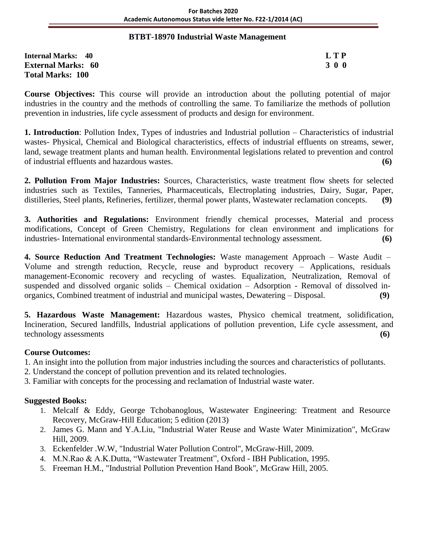#### **BTBT-18970 Industrial Waste Management**

**Internal Marks: 40 L T P External Marks: 60 3 0 0** 3 0 0 3 0 0 3 0 0 3 0 0 3 0 0 3 0 0 3 0 0 3 0 0 3 0 0 3 0  $\sigma$ **Total Marks: 100** 

**Course Objectives:** This course will provide an introduction about the polluting potential of major industries in the country and the methods of controlling the same. To familiarize the methods of pollution prevention in industries, life cycle assessment of products and design for environment.

**1. Introduction**: Pollution Index, Types of industries and Industrial pollution – Characteristics of industrial wastes- Physical, Chemical and Biological characteristics, effects of industrial effluents on streams, sewer, land, sewage treatment plants and human health. Environmental legislations related to prevention and control of industrial effluents and hazardous wastes. **(6)**

**2. Pollution From Major Industries:** Sources, Characteristics, waste treatment flow sheets for selected industries such as Textiles, Tanneries, Pharmaceuticals, Electroplating industries, Dairy, Sugar, Paper, distilleries, Steel plants, Refineries, fertilizer, thermal power plants, Wastewater reclamation concepts. **(9)**

**3. Authorities and Regulations:** Environment friendly chemical processes, Material and process modifications, Concept of Green Chemistry, Regulations for clean environment and implications for industries- International environmental standards-Environmental technology assessment. **(6)**

**4. Source Reduction And Treatment Technologies:** Waste management Approach – Waste Audit – Volume and strength reduction, Recycle, reuse and byproduct recovery – Applications, residuals management-Economic recovery and recycling of wastes. Equalization, Neutralization, Removal of suspended and dissolved organic solids – Chemical oxidation – Adsorption - Removal of dissolved inorganics, Combined treatment of industrial and municipal wastes, Dewatering – Disposal. **(9)**

**5. Hazardous Waste Management:** Hazardous wastes, Physico chemical treatment, solidification, Incineration, Secured landfills, Industrial applications of pollution prevention, Life cycle assessment, and technology assessments **(6)**

### **Course Outcomes:**

- 1. An insight into the pollution from major industries including the sources and characteristics of pollutants.
- 2. Understand the concept of pollution prevention and its related technologies.
- 3. Familiar with concepts for the processing and reclamation of Industrial waste water.

- 1. Melcalf & Eddy, George Tchobanoglous, Wastewater Engineering: Treatment and Resource Recovery, McGraw-Hill Education; 5 edition (2013)
- 2. James G. Mann and Y.A.Liu, "Industrial Water Reuse and Waste Water Minimization", McGraw Hill, 2009.
- 3. Eckenfelder .W.W, "Industrial Water Pollution Control", McGraw-Hill, 2009.
- 4. M.N.Rao & A.K.Dutta, "Wastewater Treatment", Oxford IBH Publication, 1995.
- 5. Freeman H.M., "Industrial Pollution Prevention Hand Book", McGraw Hill, 2005.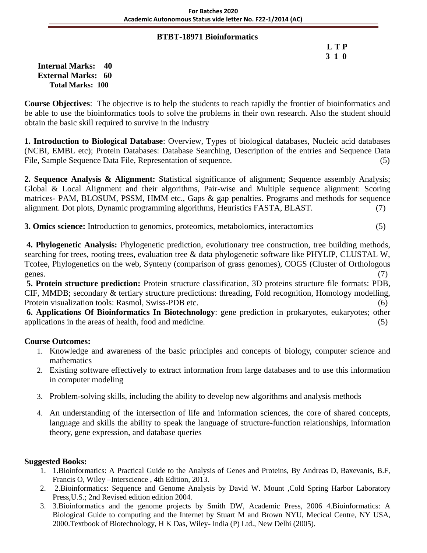#### **BTBT-18971 Bioinformatics**

 **L T P 3 1 0**

**Internal Marks: 40 External Marks: 60 Total Marks: 100** 

**Course Objectives**: The objective is to help the students to reach rapidly the frontier of bioinformatics and be able to use the bioinformatics tools to solve the problems in their own research. Also the student should obtain the basic skill required to survive in the industry

**1. Introduction to Biological Database**: Overview, Types of biological databases, Nucleic acid databases (NCBI, EMBL etc); Protein Databases: Database Searching, Description of the entries and Sequence Data File, Sample Sequence Data File, Representation of sequence. (5)

**2. Sequence Analysis & Alignment:** Statistical significance of alignment; Sequence assembly Analysis; Global & Local Alignment and their algorithms, Pair-wise and Multiple sequence alignment: Scoring matrices- PAM, BLOSUM, PSSM, HMM etc., Gaps & gap penalties. Programs and methods for sequence alignment. Dot plots, Dynamic programming algorithms, Heuristics FASTA, BLAST. (7)

**3. Omics science:** Introduction to genomics, proteomics, metabolomics, interactomics (5)

**4. Phylogenetic Analysis:** Phylogenetic prediction, evolutionary tree construction, tree building methods, searching for trees, rooting trees, evaluation tree & data phylogenetic software like PHYLIP, CLUSTAL W, Tcofee, Phylogenetics on the web, Synteny (comparison of grass genomes), COGS (Cluster of Orthologous genes. (7)

**5. Protein structure prediction:** Protein structure classification, 3D proteins structure file formats: PDB, CIF, MMDB; secondary & tertiary structure predictions: threading, Fold recognition, Homology modelling, Protein visualization tools: Rasmol, Swiss-PDB etc. (6)

**6. Applications Of Bioinformatics In Biotechnology**: gene prediction in prokaryotes, eukaryotes; other applications in the areas of health, food and medicine. (5)

# **Course Outcomes:**

- 1. Knowledge and awareness of the basic principles and concepts of biology, computer science and mathematics
- 2. Existing software effectively to extract information from large databases and to use this information in computer modeling
- 3. Problem-solving skills, including the ability to develop new algorithms and analysis methods
- 4. An understanding of the intersection of life and information sciences, the core of shared concepts, language and skills the ability to speak the language of structure-function relationships, information theory, gene expression, and database queries

- 1. 1.Bioinformatics: A Practical Guide to the Analysis of Genes and Proteins, By Andreas D, Baxevanis, B.F, Francis O, Wiley –Interscience , 4th Edition, 2013.
- 2. 2.Bioinformatics: Sequence and Genome Analysis by David W. Mount ,Cold Spring Harbor Laboratory Press,U.S.; 2nd Revised edition edition 2004.
- 3. 3.Bioinformatics and the genome projects by Smith DW, Academic Press, 2006 4.Bioinformatics: A Biological Guide to computing and the Internet by Stuart M and Brown NYU, Mecical Centre, NY USA, 2000.Textbook of Biotechnology, H K Das, Wiley- India (P) Ltd., New Delhi (2005).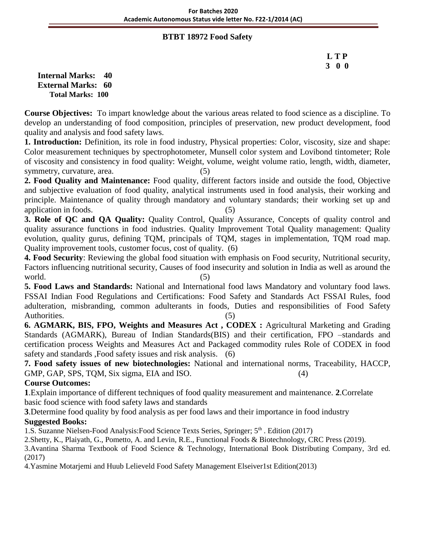### **BTBT 18972 Food Safety**

# **L T P 3 0 0**

**Internal Marks: 40 External Marks: 60 Total Marks: 100** 

**Course Objectives:** To impart knowledge about the various areas related to food science as a discipline. To develop an understanding of food composition, principles of preservation, new product development, food quality and analysis and food safety laws.

**1. Introduction:** Definition, its role in food industry, Physical properties: Color, viscosity, size and shape: Color measurement techniques by spectrophotometer, Munsell color system and Lovibond tintometer; Role of viscosity and consistency in food quality: Weight, volume, weight volume ratio, length, width, diameter, symmetry, curvature, area. (5)

**2. Food Quality and Maintenance:** Food quality, different factors inside and outside the food, Objective and subjective evaluation of food quality, analytical instruments used in food analysis, their working and principle. Maintenance of quality through mandatory and voluntary standards; their working set up and application in foods. (5)

**3. Role of QC and QA Quality:** Quality Control, Quality Assurance, Concepts of quality control and quality assurance functions in food industries. Quality Improvement Total Quality management: Quality evolution, quality gurus, defining TQM, principals of TQM, stages in implementation, TQM road map. Quality improvement tools, customer focus, cost of quality. (6)

**4. Food Security**: Reviewing the global food situation with emphasis on Food security, Nutritional security, Factors influencing nutritional security, Causes of food insecurity and solution in India as well as around the  $\text{world.}$  (5)

**5. Food Laws and Standards:** National and International food laws Mandatory and voluntary food laws. FSSAI Indian Food Regulations and Certifications: Food Safety and Standards Act FSSAI Rules, food adulteration, misbranding, common adulterants in foods, Duties and responsibilities of Food Safety Authorities. (5)

**6. AGMARK, BIS, FPO, Weights and Measures Act , CODEX :** Agricultural Marketing and Grading Standards (AGMARK), Bureau of Indian Standards(BIS) and their certification, FPO –standards and certification process Weights and Measures Act and Packaged commodity rules Role of CODEX in food safety and standards ,Food safety issues and risk analysis. (6)

**7. Food safety issues of new biotechnologies:** National and international norms, Traceability, HACCP, GMP, GAP, SPS, TQM, Six sigma, EIA and ISO. (4)

# **Course Outcomes:**

**1**.Explain importance of different techniques of food quality measurement and maintenance. **2**.Correlate basic food science with food safety laws and standards

**3**.Determine food quality by food analysis as per food laws and their importance in food industry

# **Suggested Books:**

1.S. Suzanne Nielsen-Food Analysis: Food Science Texts Series, Springer;  $5<sup>th</sup>$ . Edition (2017)

2.Shetty, K., Plaiyath, G., Pometto, A. and Levin, R.E., Functional Foods & Biotechnology, CRC Press (2019).

3.Avantina Sharma Textbook of Food Science & Technology, International Book Distributing Company, 3rd ed. (2017)

4.Yasmine Motarjemi and Huub Lelieveld Food Safety Management Elseiver1st Edition(2013)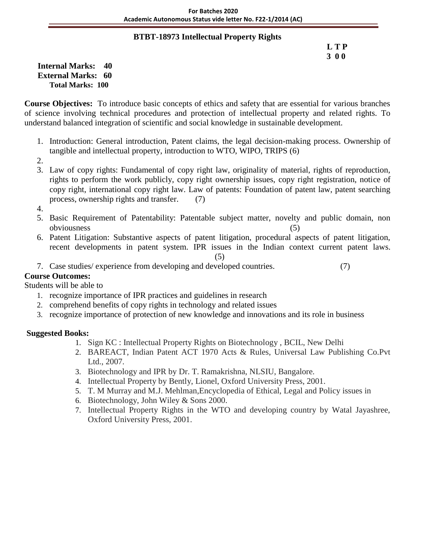### **BTBT-18973 Intellectual Property Rights**

### **L T P 3 0 0**

**Internal Marks: 40 External Marks: 60 Total Marks: 100** 

**Course Objectives:** To introduce basic concepts of ethics and safety that are essential for various branches of science involving technical procedures and protection of intellectual property and related rights. To understand balanced integration of scientific and social knowledge in sustainable development.

- 1. Introduction: General introduction, Patent claims, the legal decision-making process. Ownership of tangible and intellectual property, introduction to WTO, WIPO, TRIPS (6)
- 2.
- 3. Law of copy rights: Fundamental of copy right law, originality of material, rights of reproduction, rights to perform the work publicly, copy right ownership issues, copy right registration, notice of copy right, international copy right law. Law of patents: Foundation of patent law, patent searching process, ownership rights and transfer. (7)
- 4.
- 5. Basic Requirement of Patentability: Patentable subject matter, novelty and public domain, non obviousness (5)
- 6. Patent Litigation: Substantive aspects of patent litigation, procedural aspects of patent litigation, recent developments in patent system. IPR issues in the Indian context current patent laws.

(5)

7. Case studies/ experience from developing and developed countries. (7)

# **Course Outcomes:**

# Students will be able to

- 1. recognize importance of IPR practices and guidelines in research
- 2. comprehend benefits of copy rights in technology and related issues
- 3. recognize importance of protection of new knowledge and innovations and its role in business

- 1. Sign KC : Intellectual Property Rights on Biotechnology , BCIL, New Delhi
- 2. BAREACT, Indian Patent ACT 1970 Acts & Rules, Universal Law Publishing Co.Pvt Ltd., 2007.
- 3. Biotechnology and IPR by Dr. T. Ramakrishna, NLSIU, Bangalore.
- 4. Intellectual Property by Bently, Lionel, Oxford University Press, 2001.
- 5. T. M Murray and M.J. Mehlman,Encyclopedia of Ethical, Legal and Policy issues in
- 6. Biotechnology, John Wiley & Sons 2000.
- 7. Intellectual Property Rights in the WTO and developing country by Watal Jayashree, Oxford University Press, 2001.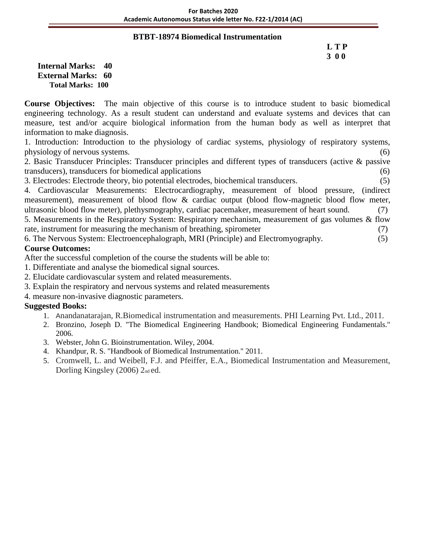#### **BTBT-18974 Biomedical Instrumentation**

# **L T P 3 0 0**

**Internal Marks: 40 External Marks: 60 Total Marks: 100** 

**Course Objectives:** The main objective of this course is to introduce student to basic biomedical engineering technology. As a result student can understand and evaluate systems and devices that can measure, test and/or acquire biological information from the human body as well as interpret that information to make diagnosis.

1. Introduction: Introduction to the physiology of cardiac systems, physiology of respiratory systems, physiology of nervous systems. (6)

2. Basic Transducer Principles: Transducer principles and different types of transducers (active & passive transducers), transducers for biomedical applications (6)

3. Electrodes: Electrode theory, bio potential electrodes, biochemical transducers. (5)

4. Cardiovascular Measurements: Electrocardiography, measurement of blood pressure, (indirect measurement), measurement of blood flow & cardiac output (blood flow-magnetic blood flow meter, ultrasonic blood flow meter), plethysmography, cardiac pacemaker, measurement of heart sound. (7) 5. Measurements in the Respiratory System: Respiratory mechanism, measurement of gas volumes & flow

rate, instrument for measuring the mechanism of breathing, spirometer (7)

6. The Nervous System: Electroencephalograph, MRI (Principle) and Electromyography. (5) **Course Outcomes:**

After the successful completion of the course the students will be able to:

- 1. Differentiate and analyse the biomedical signal sources.
- 2. Elucidate cardiovascular system and related measurements.
- 3. Explain the respiratory and nervous systems and related measurements
- 4. measure non-invasive diagnostic parameters.

- 1. Anandanatarajan, R.Biomedical instrumentation and measurements. PHI Learning Pvt. Ltd., 2011.
- 2. Bronzino, Joseph D. "The Biomedical Engineering Handbook; Biomedical Engineering Fundamentals." 2006.
- 3. Webster, John G. Bioinstrumentation. Wiley, 2004.
- 4. Khandpur, R. S. "Handbook of Biomedical Instrumentation." 2011.
- 5. Cromwell, L. and Weibell, F.J. and Pfeiffer, E.A., Biomedical Instrumentation and Measurement, Dorling Kingsley (2006)  $2<sub>nd</sub>$ ed.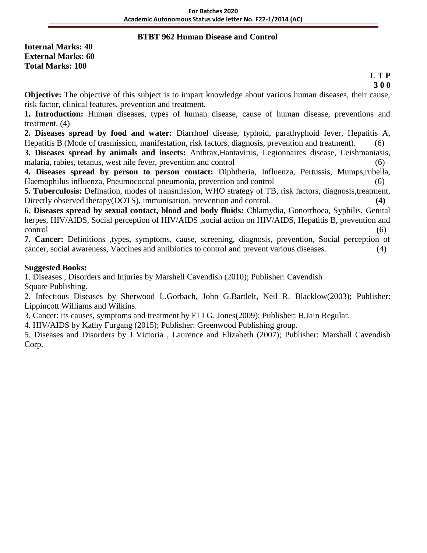### **BTBT 962 Human Disease and Control**

**Internal Marks: 40 External Marks: 60 Total Marks: 100**

#### **L T P 3 0 0**

**Objective:** The objective of this subject is to impart knowledge about various human diseases, their cause, risk factor, clinical features, prevention and treatment.

**1. Introduction:** Human diseases, types of human disease, cause of human disease, preventions and treatment. (4)

**2. Diseases spread by food and water:** Diarrhoel disease, typhoid, parathyphoid fever, Hepatitis A, Hepatitis B (Mode of trasmission, manifestation, risk factors, diagnosis, prevention and treatment). (6)

**3. Diseases spread by animals and insects:** Anthrax,Hantavirus, Legionnaires disease, Leishmaniasis, malaria, rabies, tetanus, west nile fever, prevention and control (6)

**4. Diseases spread by person to person contact:** Diphtheria, Influenza, Pertussis, Mumps,rubella, Haemophilus influenza, Pneumococcal pneumonia, prevention and control (6)

**5. Tuberculosis:** Defination, modes of transmission, WHO strategy of TB, risk factors, diagnosis,treatment, Directly observed therapy(DOTS), immunisation, prevention and control.

**6. Diseases spread by sexual contact, blood and body fluids:** Chlamydia, Gonorrhoea, Syphilis, Genital herpes, HIV/AIDS, Social perception of HIV/AIDS, social action on HIV/AIDS, Hepatitis B, prevention and control (6)

**7. Cancer:** Definitions ,types, symptoms, cause, screening, diagnosis, prevention, Social perception of cancer, social awareness, Vaccines and antibiotics to control and prevent various diseases. (4)

### **Suggested Books:**

1. Diseases , Disorders and Injuries by Marshell Cavendish (2010); Publisher: Cavendish Square Publishing.

2. Infectious Diseases by Sherwood L.Gorbach, John G.Bartlelt, Neil R. Blacklow(2003); Publisher: Lippincott Williams and Wilkins.

3. Cancer: its causes, symptoms and treatment by ELI G. Jones(2009); Publisher: B.Jain Regular.

4. HIV/AIDS by Kathy Furgang (2015); Publisher: Greenwood Publishing group.

5. Diseases and Disorders by J Victoria , Laurence and Elizabeth (2007); Publisher: Marshall Cavendish Corp.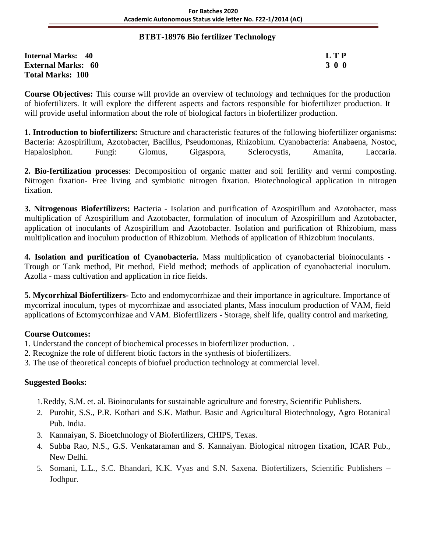### **BTBT-18976 Bio fertilizer Technology**

**Internal Marks: 40 L T P External Marks: 60 3 0 0** 3 0 0 3 0 0 3 0 0 3 0 0 3 0 0 3 0 0 3 0 0 3 0 0 3 0 0 3 0  $\sigma$ **Total Marks: 100** 

**Course Objectives:** This course will provide an overview of technology and techniques for the production of biofertilizers. It will explore the different aspects and factors responsible for biofertilizer production. It will provide useful information about the role of biological factors in biofertilizer production.

**1. Introduction to biofertilizers:** Structure and characteristic features of the following biofertilizer organisms: Bacteria: Azospirillum, Azotobacter, Bacillus, Pseudomonas, Rhizobium. Cyanobacteria: Anabaena, Nostoc, Hapalosiphon. Fungi: Glomus, Gigaspora, Sclerocystis, Amanita, Laccaria.

**2. Bio-fertilization processes**: Decomposition of organic matter and soil fertility and vermi composting. Nitrogen fixation- Free living and symbiotic nitrogen fixation. Biotechnological application in nitrogen fixation.

**3. Nitrogenous Biofertilizers:** Bacteria - Isolation and purification of Azospirillum and Azotobacter, mass multiplication of Azospirillum and Azotobacter, formulation of inoculum of Azospirillum and Azotobacter, application of inoculants of Azospirillum and Azotobacter. Isolation and purification of Rhizobium, mass multiplication and inoculum production of Rhizobium. Methods of application of Rhizobium inoculants.

**4. Isolation and purification of Cyanobacteria.** Mass multiplication of cyanobacterial bioinoculants - Trough or Tank method, Pit method, Field method; methods of application of cyanobacterial inoculum. Azolla - mass cultivation and application in rice fields.

**5. Mycorrhizal Biofertilizers-** Ecto and endomycorrhizae and their importance in agriculture. Importance of mycorrizal inoculum, types of mycorrhizae and associated plants, Mass inoculum production of VAM, field applications of Ectomycorrhizae and VAM. Biofertilizers - Storage, shelf life, quality control and marketing.

# **Course Outcomes:**

- 1. Understand the concept of biochemical processes in biofertilizer production. .
- 2. Recognize the role of different biotic factors in the synthesis of biofertilizers.
- 3. The use of theoretical concepts of biofuel production technology at commercial level.

# **Suggested Books:**

1.Reddy, S.M. et. al. Bioinoculants for sustainable agriculture and forestry, Scientific Publishers.

- 2. Purohit, S.S., P.R. Kothari and S.K. Mathur. Basic and Agricultural Biotechnology, Agro Botanical Pub. India.
- 3. Kannaiyan, S. Bioetchnology of Biofertilizers, CHIPS, Texas.
- 4. Subba Rao, N.S., G.S. Venkataraman and S. Kannaiyan. Biological nitrogen fixation, ICAR Pub., New Delhi.
- 5. Somani, L.L., S.C. Bhandari, K.K. Vyas and S.N. Saxena. Biofertilizers, Scientific Publishers Jodhpur.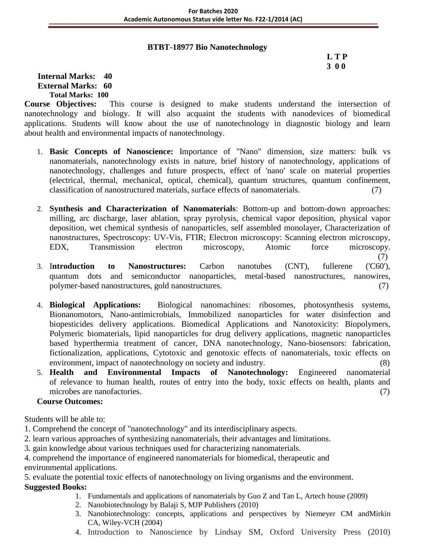### **BTBT-18977 Bio Nanotechnology**

# **L T P 3 0 0**

(7)

### **Internal Marks: 40 External Marks: 60 Total Marks: 100**

**Course Objectives:** This course is designed to make students understand the intersection of nanotechnology and biology. It will also acquaint the students with nanodevices of biomedical applications. Students will know about the use of nanotechnology in diagnostic biology and learn about health and environmental impacts of nanotechnology.

- 1. **Basic Concepts of Nanoscience:** Importance of "Nano" dimension, size matters: bulk vs nanomaterials, nanotechnology exists in nature, brief history of nanotechnology, applications of nanotechnology, challenges and future prospects, effect of 'nano' scale on material properties (electrical, thermal, mechanical, optical, chemical), quantum structures, quantum confinement, classification of nanostructured materials, surface effects of nanomaterials. (7)
- 2. **Synthesis and Characterization of Nanomaterials**: Bottom-up and bottom-down approaches: milling, arc discharge, laser ablation, spray pyrolysis, chemical vapor deposition, physical vapor deposition, wet chemical synthesis of nanoparticles, self assembled monolayer, Characterization of nanostructures, Spectroscopy: UV-Vis, FTIR; Electron microscopy: Scanning electron microscopy, EDX, Transmission electron microscopy, Atomic force microscopy.
- 3. I**ntroduction to Nanostructures:** Carbon nanotubes (CNT), fullerene ('C60'), quantum dots and semiconductor nanoparticles, metal-based nanostructures, nanowires, polymer-based nanostructures, gold nanostructures. (7)
- 4. **Biological Applications:** Biological nanomachines: ribosomes, photosynthesis systems, Bionanomotors, Nano-antimicrobials, Immobilized nanoparticles for water disinfection and biopesticides delivery applications. Biomedical Applications and Nanotoxicity: Biopolymers, Polymeric biomaterials, lipid nanoparticles for drug delivery applications, magnetic nanoparticles based hyperthermia treatment of cancer, DNA nanotechnology, Nano-biosensors: fabrication, fictionalization, applications, Cytotoxic and genotoxic effects of nanomaterials, toxic effects on environment, impact of nanotechnology on society and industry. (8)
- 5. **Health and Environmental Impacts of Nanotechnology:** Engineered nanomaterial of relevance to human health, routes of entry into the body, toxic effects on health, plants and microbes are nanofactories. (7)

# **Course Outcomes:**

Students will be able to:

- 1. Comprehend the concept of "nanotechnology" and its interdisciplinary aspects.
- 2. learn various approaches of synthesizing nanomaterials, their advantages and limitations.
- 3. gain knowledge about various techniques used for characterizing nanomaterials.
- 4. comprehend the importance of engineered nanomaterials for biomedical, therapeutic and

environmental applications.

5. evaluate the potential toxic effects of nanotechnology on living organisms and the environment.

- 1. Fundamentals and applications of nanomaterials by Guo Z and Tan L, Artech house (2009)
- 2. Nanobiotechnology by Balaji S, MJP Publishers (2010)
- 3. Nanobiotechnology: concepts, applications and perspectives by Niemeyer CM andMirkin CA, Wiley-VCH (2004)
- 4. Introduction to Nanoscience by Lindsay SM, Oxford University Press (2010)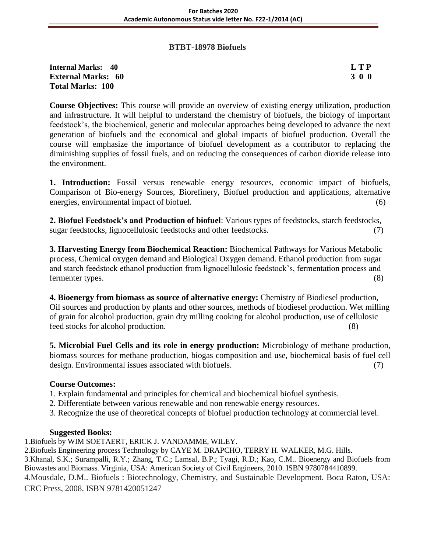#### **BTBT-18978 Biofuels**

### **Internal Marks: 40 L T P External Marks: 60 3 0 0** 3 0 0 3 0 0 3 0 0 3 0 0 3 0 0 3 0 0 3 0 0 3 0 0 3 0 0 3 0 4  $\sigma$ **Total Marks: 100**

**Course Objectives:** This course will provide an overview of existing energy utilization, production and infrastructure. It will helpful to understand the chemistry of biofuels, the biology of important feedstock's, the biochemical, genetic and molecular approaches being developed to advance the next generation of biofuels and the economical and global impacts of biofuel production. Overall the course will emphasize the importance of biofuel development as a contributor to replacing the diminishing supplies of fossil fuels, and on reducing the consequences of carbon dioxide release into the environment.

**1. Introduction:** Fossil versus renewable energy resources, economic impact of biofuels, Comparison of Bio-energy Sources, Biorefinery, Biofuel production and applications, alternative energies, environmental impact of biofuel. (6)

**2. Biofuel Feedstock's and Production of biofuel**: Various types of feedstocks, starch feedstocks, sugar feedstocks, lignocellulosic feedstocks and other feedstocks. (7)

**3. Harvesting Energy from Biochemical Reaction:** Biochemical Pathways for Various Metabolic process, Chemical oxygen demand and Biological Oxygen demand. Ethanol production from sugar and starch feedstock ethanol production from lignocellulosic feedstock's, fermentation process and fermenter types. (8)

**4. Bioenergy from biomass as source of alternative energy:** Chemistry of Biodiesel production, Oil sources and production by plants and other sources, methods of biodiesel production. Wet milling of grain for alcohol production, grain dry milling cooking for alcohol production, use of cellulosic feed stocks for alcohol production. (8)

**5. Microbial Fuel Cells and its role in energy production:** Microbiology of methane production, biomass sources for methane production, biogas composition and use, biochemical basis of fuel cell design. Environmental issues associated with biofuels. (7)

### **Course Outcomes:**

- 1. Explain fundamental and principles for chemical and biochemical biofuel synthesis.
- 2. Differentiate between various renewable and non renewable energy resources.
- 3. Recognize the use of theoretical concepts of biofuel production technology at commercial level.

### **Suggested Books:**

1.Biofuels by WIM SOETAERT, ERICK J. VANDAMME, WILEY.

2.Biofuels Engineering process Technology by CAYE M. DRAPCHO, TERRY H. WALKER, M.G. Hills. 3.Khanal, S.K.; Surampalli, R.Y.; Zhang, T.C.; Lamsal, B.P.; Tyagi, R.D.; Kao, C.M.. Bioenergy and Biofuels from Biowastes and Biomass. Virginia, USA: American Society of Civil Engineers, 2010. ISBN 9780784410899. 4.Mousdale, D.M.. Biofuels : Biotechnology, Chemistry, and Sustainable Development. Boca Raton, USA: CRC Press, 2008. ISBN 9781420051247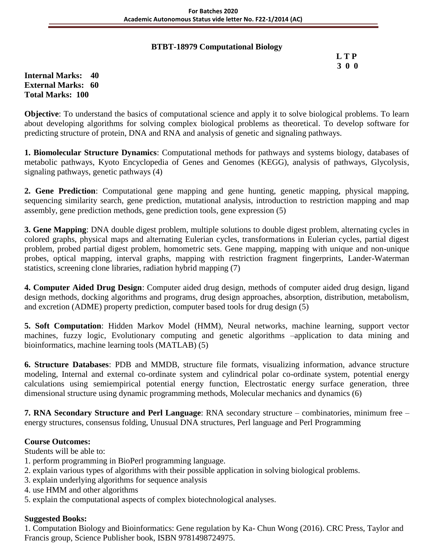# **BTBT-18979 Computational Biology**

# **L T P 3 0 0**

**Internal Marks: 40 External Marks: 60 Total Marks: 100** 

**Objective**: To understand the basics of computational science and apply it to solve biological problems. To learn about developing algorithms for solving complex biological problems as theoretical. To develop software for predicting structure of protein, DNA and RNA and analysis of genetic and signaling pathways.

**1. Biomolecular Structure Dynamics**: Computational methods for pathways and systems biology, databases of metabolic pathways, Kyoto Encyclopedia of Genes and Genomes (KEGG), analysis of pathways, Glycolysis, signaling pathways, genetic pathways (4)

**2. Gene Prediction**: Computational gene mapping and gene hunting, genetic mapping, physical mapping, sequencing similarity search, gene prediction, mutational analysis, introduction to restriction mapping and map assembly, gene prediction methods, gene prediction tools, gene expression (5)

**3. Gene Mapping**: DNA double digest problem, multiple solutions to double digest problem, alternating cycles in colored graphs, physical maps and alternating Eulerian cycles, transformations in Eulerian cycles, partial digest problem, probed partial digest problem, homometric sets. Gene mapping, mapping with unique and non-unique probes, optical mapping, interval graphs, mapping with restriction fragment fingerprints, Lander-Waterman statistics, screening clone libraries, radiation hybrid mapping (7)

**4. Computer Aided Drug Design**: Computer aided drug design, methods of computer aided drug design, ligand design methods, docking algorithms and programs, drug design approaches, absorption, distribution, metabolism, and excretion (ADME) property prediction, computer based tools for drug design (5)

**5. Soft Computation**: Hidden Markov Model (HMM), Neural networks, machine learning, support vector machines, fuzzy logic, Evolutionary computing and genetic algorithms –application to data mining and bioinformatics, machine learning tools (MATLAB) (5)

**6. Structure Databases**: PDB and MMDB, structure file formats, visualizing information, advance structure modeling, Internal and external co-ordinate system and cylindrical polar co-ordinate system, potential energy calculations using semiempirical potential energy function, Electrostatic energy surface generation, three dimensional structure using dynamic programming methods, Molecular mechanics and dynamics (6)

**7. RNA Secondary Structure and Perl Language**: RNA secondary structure – combinatories, minimum free – energy structures, consensus folding, Unusual DNA structures, Perl language and Perl Programming

# **Course Outcomes:**

Students will be able to:

- 1. perform programming in BioPerl programming language.
- 2. explain various types of algorithms with their possible application in solving biological problems.
- 3. explain underlying algorithms for sequence analysis
- 4. use HMM and other algorithms
- 5. explain the computational aspects of complex biotechnological analyses.

### **Suggested Books:**

1. Computation Biology and Bioinformatics: Gene regulation by Ka- Chun Wong (2016). CRC Press, Taylor and Francis group, Science Publisher book, ISBN 9781498724975.